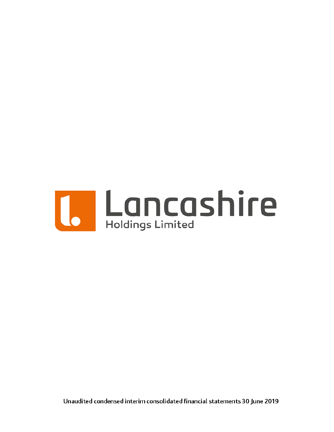

Unaudited condensed interim consolidated financial statements 30 June 2019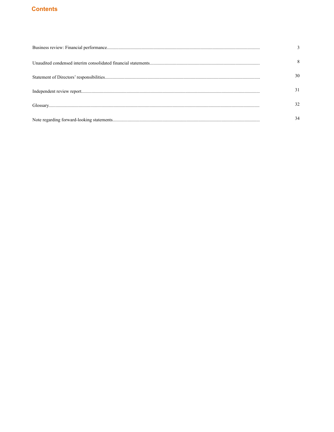# **Contents**

| 30 |
|----|
|    |
|    |
|    |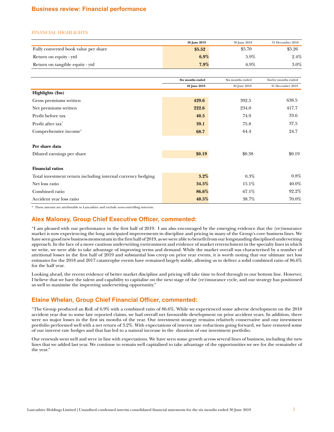# <span id="page-2-0"></span>**Business review: Financial performance**

#### FINANCIAL HIGHLIGHTS

|                                      | 30 June 2019 | 30 June 2018 | 31 December 2018 |
|--------------------------------------|--------------|--------------|------------------|
| Fully converted book value per share | \$5.52       | \$5.70       | \$5.26           |
| Return on equity - ytd               | $6.9\%$      | $5.9\%$      | 2.4%             |
| Return on tangible equity - ytd      | 7.9%         | $6.9\%$      | 3.0%             |

|                                                             | Six months ended | Six months ended | Twelve months ended |
|-------------------------------------------------------------|------------------|------------------|---------------------|
|                                                             | 30 June 2019     | 30 June 2018     | 31 December 2018    |
| Highlights (\$m)                                            |                  |                  |                     |
| Gross premiums written                                      | 429.6            | 392.5            | 638.5               |
| Net premiums written                                        | 222.6            | 234.0            | 417.7               |
| Profit before tax                                           | 40.5             | 74.9             | 33.6                |
| Profit after tax*                                           | 39.1             | 75.8             | 37.5                |
| Comprehensive income*                                       | 68.7             | 64.4             | 24.7                |
| Per share data                                              |                  |                  |                     |
| Diluted earnings per share                                  | \$0.19           | \$0.38           | \$0.19              |
| <b>Financial ratios</b>                                     |                  |                  |                     |
| Total investment return including internal currency hedging | $3.2\%$          | $0.3\%$          | 0.8%                |
| Net loss ratio                                              | 34.5%            | 15.1%            | 40.0%               |
| Combined ratio                                              | 86.6%            | 67.1%            | 92.2%               |
| Accident year loss ratio                                    | 40.5%            | 38.7%            | 70.0%               |

\* These amount are attributable to Lancashire and exclude non-controlling interests.

# **Alex Maloney, Group Chief Executive Officer, commented:**

"I am pleased with our performance in the first half of 2019. I am also encouraged by the emerging evidence that the (re)insurance market is now experiencing the long anticipated improvements in discipline and pricing in many of the Group's core business lines. We have seen good new business momentum in the first half of 2019, as we were able to benefit from our longstanding disciplined underwriting approach. In the face of a more cautious underwriting environment and evidence of market retrenchment in the specialty lines in which we write, we were able to take advantage of improving terms and demand. While the market overall was characterised by a number of attritional losses in the first half of 2019 and substantial loss creep on prior year events, it is worth noting that our ultimate net loss estimates for the 2018 and 2017 catastrophe events have remained largely stable, allowing us to deliver a solid combined ratio of 86.6% for the half year.

Looking ahead, the recent evidence of better market discipline and pricing will take time to feed through to our bottom line. However, I believe that we have the talent and capability to capitalise on the next stage of the (re)insurance cycle, and our strategy has positioned us well to maximise the improving underwriting opportunity."

# **Elaine Whelan, Group Chief Financial Officer, commented:**

"The Group produced an RoE of 6.9% with a combined ratio of 86.6%. While we experienced some adverse development on the 2018 accident year due to some late reported claims, we had overall net favourable development on prior accident years. In addition, there were no major losses in the first six months of the year. Our investment strategy remains relatively conservative and our investment portfolio performed well with a net return of 3.2%. With expectations of interest rate reductions going forward, we have removed some of our interest rate hedges and that has led to a natural increase in the duration of our investment portfolio.

Our renewals went well and were in line with expectations. We have seen some growth across several lines of business, including the new lines that we added last year. We continue to remain well capitalised to take advantage of the opportunities we see for the remainder of the year."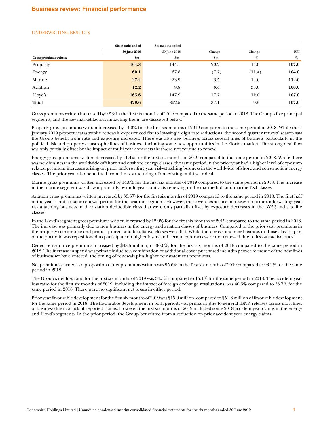### UNDERWRITING RESULTS

|                        | Six months ended | Six months ended |               |        |            |
|------------------------|------------------|------------------|---------------|--------|------------|
|                        | 30 June 2019     | 30 June 2018     | Change        | Change | <b>RPI</b> |
| Gross premiums written | \$m              | $\mathbf{Sm}$    | $\mathbf{Sm}$ | %      | %          |
| Property               | 164.3            | 144.1            | 20.2          | 14.0   | 107.0      |
| Energy                 | 60.1             | 67.8             | (7.7)         | (11.4) | 104.0      |
| Marine                 | 27.4             | 23.9             | 3.5           | 14.6   | 112.0      |
| Aviation               | 12.2             | 8.8              | 3.4           | 38.6   | 100.0      |
| Lloyd's                | 165.6            | 147.9            | 17.7          | 12.0   | 107.0      |
| <b>Total</b>           | 429.6            | 392.5            | 37.1          | 9.5    | 107.0      |

Gross premiums written increased by 9.5% in the first six months of 2019 compared to the same period in 2018. The Group's five principal segments, and the key market factors impacting them, are discussed below.

Property gross premiums written increased by 14.0% for the first six months of 2019 compared to the same period in 2018. While the 1 January 2019 property catastrophe renewals experienced flat to low-single digit rate reductions, the second quarter renewal season saw the Group benefit from rate and exposure increases. There was also new business across several lines of business particularly in the political risk and property catastrophe lines of business, including some new opportunities in the Florida market. The strong deal flow was only partially offset by the impact of multi-year contracts that were not yet due to renew.

Energy gross premiums written decreased by 11.4% for the first six months of 2019 compared to the same period in 2018. While there was new business in the worldwide offshore and onshore energy classes, the same period in the prior year had a higher level of exposurerelated premium increases arising on prior underwriting year risk-attaching business in the worldwide offshore and construction energy classes. The prior year also benefitted from the restructuring of an existing multi-year deal.

Marine gross premiums written increased by 14.6% for the first six months of 2019 compared to the same period in 2018. The increase in the marine segment was driven primarily by multi-year contracts renewing in the marine hull and marine P&I classes.

Aviation gross premiums written increased by 38.6% for the first six months of 2019 compared to the same period in 2018. The first half of the year is not a major renewal period for the aviation segment. However, there were exposure increases on prior underwriting year risk-attaching business in the aviation deductible class that were only partially offset by exposure decreases in the AV52 and satellite classes.

In the Lloyd's segment gross premiums written increased by 12.0% for the first six months of 2019 compared to the same period in 2018. The increase was primarily due to new business in the energy and aviation classes of business. Compared to the prior year premiums in the property reinsurance and property direct and facultative classes were flat. While there was some new business in those classes, part of the portfolio was repositioned to participate on higher layers and certain contracts were not renewed due to less attractive rates.

Ceded reinsurance premiums increased by \$48.5 million, or 30.6%, for the first six months of 2019 compared to the same period in 2018. The increase in spend was primarily due to a combination of additional cover purchased including cover for some of the new lines of business we have entered, the timing of renewals plus higher reinstatement premiums.

Net premiums earned as a proportion of net premiums written was 95.6% in the first six months of 2019 compared to 93.2% for the same period in 2018.

The Group's net loss ratio for the first six months of 2019 was 34.5% compared to 15.1% for the same period in 2018. The accident year loss ratio for the first six months of 2019, including the impact of foreign exchange revaluations, was 40.5% compared to 38.7% for the same period in 2018. There were no significant net losses in either period.

Prior year favourable development for the first six months of 2019 was \$15.9 million, compared to \$51.8 million of favourable development for the same period in 2018. The favourable development in both periods was primarily due to general IBNR releases across most lines of business due to a lack of reported claims. However, the first six months of 2019 included some 2018 accident year claims in the energy and Lloyd's segments. In the prior period, the Group benefitted from a reduction on prior accident year energy claims.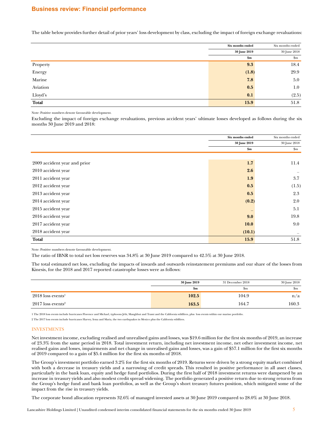# **Business review: Financial performance**

The table below provides further detail of prior years' loss development by class, excluding the impact of foreign exchange revaluations:

|          | Six months ended | Six months ended |
|----------|------------------|------------------|
|          | 30 June 2019     | 30 June 2018     |
|          | \$m\$            | $\mathbf{S}$ m   |
| Property | 9.3              | 18.4             |
| Energy   | (1.8)            | 29.9             |
| Marine   | 7.8              | 5.0              |
| Aviation | 0.5              | $1.0\,$          |
| Lloyd's  | 0.1              | (2.5)            |
| Total    | 15.9             | 51.8             |

Note: Positive numbers denote favourable development.

Excluding the impact of foreign exchange revaluations, previous accident years' ultimate losses developed as follows during the six months 30 June 2019 and 2018:

|                              | Six months ended | Six months ended       |
|------------------------------|------------------|------------------------|
|                              | 30 June 2019     | 30 June 2018           |
|                              | \$m\$            | $\mathop{\mathrm{Sm}}$ |
|                              |                  |                        |
| 2009 accident year and prior | 1.7              | 11.4                   |
| 2010 accident year           | 2.6              |                        |
| 2011 accident year           | 1.9              | 3.7                    |
| 2012 accident year           | 0.5              | (1.5)                  |
| 2013 accident year           | 0.5              | 2.3                    |
| 2014 accident year           | (0.2)            | 2.0                    |
| 2015 accident year           |                  | 5.1                    |
| 2016 accident year           | 9.0              | 19.8                   |
| 2017 accident year           | <b>10.0</b>      | 9.0                    |
| 2018 accident year           | (10.1)           |                        |
| <b>Total</b>                 | 15.9             | 51.8                   |
|                              |                  |                        |

Note: Positive numbers denote favourable development.

The ratio of IBNR to total net loss reserves was 34.8% at 30 June 2019 compared to 42.5% at 30 June 2018.

The total estimated net loss, excluding the impacts of inwards and outwards reinstatement premiums and our share of the losses from Kinesis, for the 2018 and 2017 reported catastrophe losses were as follows:

|                                 | 30 June 2019 | 31 December 2018 | 30 June 2018 |
|---------------------------------|--------------|------------------|--------------|
|                                 | 5m           | $_{\rm sm}$      | .5m          |
| $2018$ loss events <sup>1</sup> | 102.5        | 104.9            | n/a          |
| $2017$ loss events <sup>2</sup> | 163.5        | 164.′            | 160.3        |

1 The 2018 loss events include hurricanes Florence and Michael, typhoons Jebi, Mangkhut and Trami and the California wildfires, plus loss events within our marine portfolio.

2 The 2017 loss events include hurricanes Harvey, Irma and Maria, the two earthquakes in Mexico plus the California wildfires.

#### INVESTMENTS

Net investment income, excluding realised and unrealised gains and losses, was \$19.6 million for the first six months of 2019, an increase of 23.3% from the same period in 2018. Total investment return, including net investment income, net other investment income, net realised gains and losses, impairments and net change in unrealised gains and losses, was a gain of \$57.1 million for the first six months of 2019 compared to a gain of \$5.4 million for the first six months of 2018.

The Group's investment portfolio earned 3.2% for the first six months of 2019. Returns were driven by a strong equity market combined with both a decrease in treasury yields and a narrowing of credit spreads. This resulted in positive performance in all asset classes, particularly in the bank loan, equity and hedge fund portfolios. During the first half of 2018 investment returns were dampened by an increase in treasury yields and also modest credit spread widening. The portfolio generated a positive return due to strong returns from the Group's hedge fund and bank loan portfolios, as well as the Group's short treasury futures position, which mitigated some of the impact from the rise in treasury yields.

The corporate bond allocation represents 32.6% of managed invested assets at 30 June 2019 compared to 28.0% at 30 June 2018.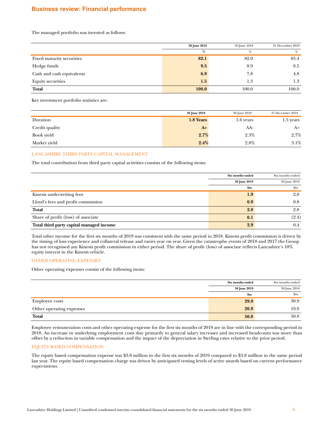# **Business review: Financial performance**

The managed portfolio was invested as follows:

|                           | 30 June 2019 | 30 June 2018 | 31 December 2018 |
|---------------------------|--------------|--------------|------------------|
|                           | %            | %            | $\%$             |
| Fixed maturity securities | 82.1         | 82.0         | 85.4             |
| Hedge funds               | 9.5          | 8.9          | 8.5              |
| Cash and cash equivalents | 6.9          | 7.8          | 4.8              |
| <b>Equity securities</b>  | 1.5          | 1.3          | 1.3              |
| Total                     | 100.0        | 100.0        | 100.0            |

Key investment portfolio statistics are:

|                | 30 June 2019 | 30 June 2018 | 31 December 2018 |
|----------------|--------------|--------------|------------------|
| Duration       | 1.8 Years    | 1.6 years    | 1.5 years        |
| Credit quality | $A+$         | AA-          | A+               |
| Book yield     | 2.7%         | 2.3%         | 2.7%             |
| Market yield   | 2.4%         | 2.8%         | 3.1%             |

# LANCASHIRE THIRD PARTY CAPITAL MANAGEMENT

The total contribution from third party capital activities consists of the following items:

|                                          | Six months ended | Six months ended |
|------------------------------------------|------------------|------------------|
|                                          | 30 June 2019     | 30 June 2018     |
|                                          | $\mathbf{Sm}$    | $\rm{Sm}$        |
| Kinesis underwriting fees                | 1.9              | 2.0              |
| Lloyd's fees and profit commission       | 0.9              | 0.8              |
| <b>Total</b>                             | 2.8              | 2.8              |
| Share of profit (loss) of associate      | 0.1              | (2.4)            |
| Total third party capital managed income | 2.9              | 0.4              |

Total other income for the first six months of 2019 was consistent with the same period in 2018. Kinesis profit commission is driven by the timing of loss experience and collateral release and varies year on year. Given the catastrophe events of 2018 and 2017 the Group has not recognised any Kinesis profit commission in either period. The share of profit (loss) of associate reflects Lancashire's 10% equity interest in the Kinesis vehicle.

#### OTHER OPERATING EXPENSES

Other operating expenses consist of the following items:

|                          | Six months ended | Six months ended |
|--------------------------|------------------|------------------|
|                          | 30 June 2019     | 30 June 2018     |
|                          | \$m              | \$m              |
| <b>Employee costs</b>    | 29.9             | 30.9             |
| Other operating expenses | 20.9             | 19.9             |
| <b>Total</b>             | 50.8             | 50.8             |

Employee remuneration costs and other operating expense for the first six months of 2019 are in line with the corresponding period in 2018. An increase in underlying employment costs due primarily to general salary increases and increased headcount was more than offset by a reduction in variable compensation and the impact of the depreciation in Sterling rates relative to the prior period.

#### EQUITY BASED COMPENSATION

The equity based compensation expense was \$3.8 million in the first six months of 2019 compared to \$3.8 million in the same period last year. The equity based compensation charge was driven by anticipated vesting levels of active awards based on current performance expectations.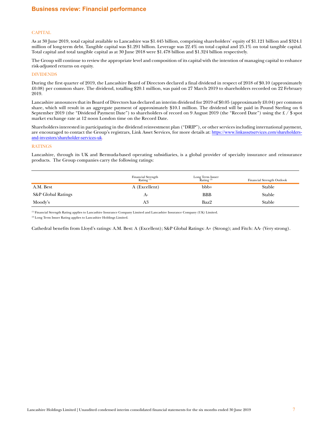#### **CAPITAL**

As at 30 June 2019, total capital available to Lancashire was \$1.445 billion, comprising shareholders' equity of \$1.121 billion and \$324.1 million of long-term debt. Tangible capital was \$1.291 billion. Leverage was 22.4% on total capital and 25.1% on total tangible capital. Total capital and total tangible capital as at 30 June 2018 were \$1.478 billion and \$1.324 billion respectively.

The Group will continue to review the appropriate level and composition of its capital with the intention of managing capital to enhance risk-adjusted returns on equity.

#### DIVIDENDS

During the first quarter of 2019, the Lancashire Board of Directors declared a final dividend in respect of 2018 of \$0.10 (approximately £0.08) per common share. The dividend, totalling \$20.1 million, was paid on 27 March 2019 to shareholders recorded on 22 February 2019.

Lancashire announces that its Board of Directors has declared an interim dividend for 2019 of \$0.05 (approximately £0.04) per common share, which will result in an aggregate payment of approximately \$10.1 million. The dividend will be paid in Pound Sterling on 6 September 2019 (the "Dividend Payment Date") to shareholders of record on 9 August 2019 (the "Record Date") using the £ / \$ spot market exchange rate at 12 noon London time on the Record Date.

Shareholders interested in participating in the dividend reinvestment plan ("DRIP"), or other services including international payment, are encouraged to contact the Group's registrars, Link Asset Services, for more details at: [https://www.linkassetservices.com/shareholders](https://www.linkassetservices.com/shareholders-and-investors/shareholder-services-uk)[and-investors/shareholder-services-uk](https://www.linkassetservices.com/shareholders-and-investors/shareholder-services-uk).

## RATINGS

Lancashire, through its UK and Bermuda-based operating subsidiaries, is a global provider of specialty insurance and reinsurance products. The Group companies carry the following ratings:

|                               | Financial Strength<br>Rating <sup>(1)</sup> | Long Term Issuer<br>Rating <sup>(2)</sup> | Financial Strength Outlook |
|-------------------------------|---------------------------------------------|-------------------------------------------|----------------------------|
| A.M. Best                     | A (Excellent)                               | $bbb +$                                   | Stable                     |
| <b>S&amp;P Global Ratings</b> | л-                                          | <b>BBB</b>                                | Stable                     |
| Moody's                       | A3                                          | Baa2                                      | Stable                     |

(1) Financial Strength Rating applies to Lancashire Insurance Company Limited and Lancashire Insurance Company (UK) Limited.

(2) Long Term Issuer Rating applies to Lancashire Holdings Limited.

Cathedral benefits from Lloyd's ratings: A.M. Best: A (Excellent); S&P Global Ratings: A+ (Strong); and Fitch: AA- (Very strong).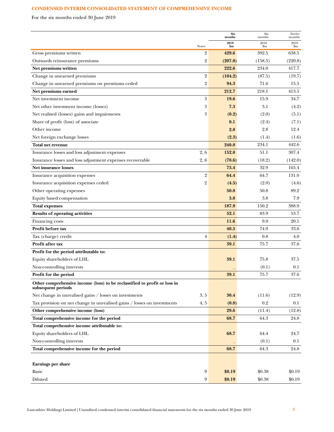# <span id="page-7-0"></span>**CONDENSED INTERIM CONSOLIDATED STATEMENT OF COMPREHENSIVE INCOME**

For the six months ended 30 June 2019

|                                                                                                 |                  | <b>Six</b><br>months | Six<br>months | Twelve<br>months |
|-------------------------------------------------------------------------------------------------|------------------|----------------------|---------------|------------------|
|                                                                                                 | <b>Notes</b>     | 2019<br>\$m          | 2018<br>\$m   | 2018<br>\$m      |
| Gross premiums written                                                                          | $\overline{2}$   | 429.6                | 392.5         | 638.5            |
| Outwards reinsurance premiums                                                                   | 2                | (207.0)              | (158.5)       | (220.8)          |
| Net premiums written                                                                            |                  | 222.6                | 234.0         | 417.7            |
| Change in unearned premiums                                                                     | $\overline{2}$   | (104.2)              | (87.5)        | (19.7)           |
| Change in unearned premiums on premiums ceded                                                   | $\overline{2}$   | 94.3                 | 71.6          | 15.5             |
| Net premiums earned                                                                             |                  | 212.7                | 218.1         | 413.5            |
| Net investment income                                                                           | $\boldsymbol{3}$ | 19.6                 | 15.9          | 34.7             |
| Net other investment income (losses)                                                            | 3                | 7.3                  | 3.1           | (4.2)            |
| Net realised (losses) gains and impairments                                                     | 3                | (0.2)                | (2.0)         | (5.1)            |
| Share of profit (loss) of associate                                                             |                  | 0.1                  | (2.4)         | (7.1)            |
| Other income                                                                                    |                  | 2.8                  | 2.8           | 12.4             |
| Net foreign exchange losses                                                                     |                  | (2.3)                | (1.4)         | (1.6)            |
| Total net revenue                                                                               |                  | 240.0                | 234.1         | 442.6            |
| Insurance losses and loss adjustment expenses                                                   | 2, 6             | 152.0                | 51.1          | 307.4            |
| Insurance losses and loss adjustment expenses recoverable                                       | 2,6              | (78.6)               | (18.2)        | (142.0)          |
| <b>Net insurance losses</b>                                                                     |                  | 73.4                 | 32.9          | 165.4            |
| Insurance acquisition expenses                                                                  | $\overline{2}$   | 64.4                 | 64.7          | 131.0            |
| Insurance acquisition expenses ceded                                                            | $\overline{2}$   | (4.5)                | (2.0)         | (4.6)            |
| Other operating expenses                                                                        |                  | 50.8                 | 50.8          | 89.2             |
| Equity based compensation                                                                       |                  | 3.8                  | 3.8           | 7.9              |
| <b>Total expenses</b>                                                                           |                  | 187.9                | 150.2         | 388.9            |
| <b>Results of operating activities</b>                                                          |                  | 52.1                 | 83.9          | 53.7             |
| Financing costs                                                                                 |                  | 11.6                 | 9.0           | 20.1             |
| Profit before tax                                                                               |                  | 40.5                 | 74.9          | 33.6             |
| Tax (charge) credit                                                                             | $\overline{4}$   | (1.4)                | 0.8           | 4.0              |
| Profit after tax                                                                                |                  | 39.1                 | 75.7          | 37.6             |
| Profit for the period attributable to:                                                          |                  |                      |               |                  |
| Equity shareholders of LHL                                                                      |                  | 39.1                 | 75.8          | 37.5             |
| Non-controlling interests                                                                       |                  |                      | (0.1)         | 0.1              |
| Profit for the period                                                                           |                  | 39.1                 | 75.7          | $37.6\,$         |
| Other comprehensive income (loss) to be reclassified to profit or loss in<br>subsequent periods |                  |                      |               |                  |
| Net change in unrealised gains / losses on investments                                          | 3, 5             | 30.4                 | (11.6)        | (12.9)           |
| Tax provision on net change in unrealised gains / losses on investments                         | 4, 5             | (0.8)                | 0.2           | 0.1              |
| Other comprehensive income (loss)                                                               |                  | 29.6                 | (11.4)        | (12.8)           |
| Total comprehensive income for the period                                                       |                  | 68.7                 | 64.3          | 24.8             |
| Total comprehensive income attributable to:                                                     |                  |                      |               |                  |
| Equity shareholders of LHL                                                                      |                  | 68.7                 | 64.4          | 24.7             |
| Non-controlling interests                                                                       |                  |                      | (0.1)         | 0.1              |
| Total comprehensive income for the period                                                       |                  | 68.7                 | 64.3          | 24.8             |
|                                                                                                 |                  |                      |               |                  |
| Earnings per share                                                                              |                  |                      |               |                  |
| Basic                                                                                           | $\boldsymbol{9}$ | \$0.19               | \$0.38        | \$0.19           |
| Diluted                                                                                         | 9                | \$0.19               | \$0.38        | \$0.19           |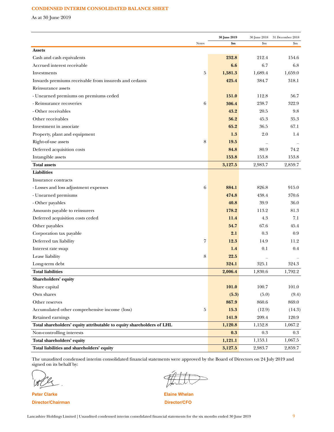# **CONDENSED INTERIM CONSOLIDATED BALANCE SHEET**

As at 30 June 2019

|                                                                       |              | 30 June 2019 | 30 June 2018             | 31 December 2018<br>$\mathbf{Sm}$ |
|-----------------------------------------------------------------------|--------------|--------------|--------------------------|-----------------------------------|
| <b>Assets</b>                                                         | <b>Notes</b> | \$m          | \$m                      |                                   |
| Cash and cash equivalents                                             |              | 232.8        | 212.4                    | 154.6                             |
| Accrued interest receivable                                           |              | 6.6          | 6.7                      | 6.8                               |
| Investments                                                           | 5            | 1,581.3      | 1,689.4                  | 1,659.0                           |
|                                                                       |              | 425.4        | 384.7                    | 318.1                             |
| Inwards premiums receivable from insureds and cedants                 |              |              |                          |                                   |
| Reinsurance assets                                                    |              |              | 112.8                    |                                   |
| - Unearned premiums on premiums ceded                                 |              | 151.0        |                          | 56.7                              |
| - Reinsurance recoveries                                              | 6            | 306.4        | 238.7                    | 322.9                             |
| - Other receivables                                                   |              | 43.2         | 20.5                     | 9.8                               |
| Other receivables                                                     |              | 56.2         | 45.3                     | 35.3                              |
| Investment in associate                                               |              | 65.2         | 36.5                     | 67.1                              |
| Property, plant and equipment                                         |              | 1.3          | 2.0                      | 1.4                               |
| Right-of-use assets                                                   | 8            | 19.5         | $\overline{\phantom{0}}$ |                                   |
| Deferred acquisition costs                                            |              | 84.8         | 80.9                     | 74.2                              |
| Intangible assets                                                     |              | 153.8        | 153.8                    | 153.8                             |
| <b>Total assets</b>                                                   |              | 3,127.5      | 2,983.7                  | 2,859.7                           |
| <b>Liabilities</b>                                                    |              |              |                          |                                   |
| Insurance contracts                                                   |              |              |                          |                                   |
| - Losses and loss adjustment expenses                                 | 6            | 884.1        | 826.8                    | 915.0                             |
| - Unearned premiums                                                   |              | 474.8        | 438.4                    | 370.6                             |
| - Other payables                                                      |              | 40.8         | 39.9                     | 36.0                              |
| Amounts payable to reinsurers                                         |              | 178.2        | 113.2                    | 81.3                              |
| Deferred acquisition costs ceded                                      |              | 11.4         | 4.3                      | 7.1                               |
| Other payables                                                        |              | 54.7         | 67.6                     | 45.4                              |
| Corporation tax payable                                               |              | 2.1          | 0.3                      | 0.9                               |
| Deferred tax liability                                                | 7            | 12.3         | 14.9                     | 11.2                              |
| Interest rate swap                                                    |              | 1.4          | 0.1                      | 0.4                               |
| Lease liability                                                       | 8            | 22.5         |                          |                                   |
| Long-term debt                                                        |              | 324.1        | 325.1                    | 324.3                             |
| <b>Total liabilities</b>                                              |              | 2,006.4      | 1,830.6                  | 1,792.2                           |
| Shareholders' equity                                                  |              |              |                          |                                   |
| Share capital                                                         |              | 101.0        | 100.7                    | 101.0                             |
| Own shares                                                            |              | (5.3)        | (5.0)                    | (9.4)                             |
| Other reserves                                                        |              | 867.9        | 860.6                    | 869.0                             |
| Accumulated other comprehensive income (loss)                         | 5            | 15.3         | (12.9)                   | (14.3)                            |
| Retained earnings                                                     |              | 141.9        | 209.4                    | 120.9                             |
| Total shareholders' equity attributable to equity shareholders of LHL |              | 1,120.8      | 1,152.8                  | 1,067.2                           |
| Non-controlling interests                                             |              | 0.3          | $0.3\,$                  | 0.3                               |
| Total shareholders' equity                                            |              | 1,121.1      | 1,153.1                  | 1,067.5                           |
| Total liabilities and shareholders' equity                            |              | 3,127.5      | 2,983.7                  | 2,859.7                           |

The unaudited condensed interim consolidated financial statements were approved by the Board of Directors on 24 July 2019 and signed on its behalf by:

**Peter Clarke Elaine Whelan Director/Chairman Director/CFO**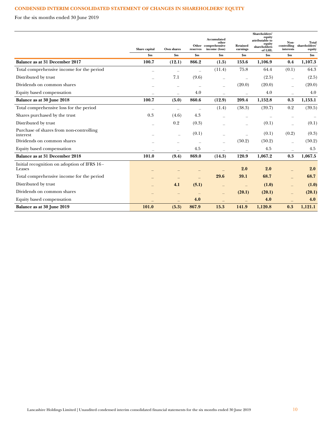# **CONDENSED INTERIM CONSOLIDATED STATEMENT OF CHANGES IN SHAREHOLDERS' EQUITY**

For the six months ended 30 June 2019

|                                                        | Share capital            | Own shares               | reserves       | Accumulated<br>other<br>Other comprehensive<br>income (loss) | Retained<br>earnings     | Shareholders'<br>equity<br>attributable to<br>equity<br>shareholders<br>of LHL | Non-<br>interests | Total<br>controlling shareholders'<br>equity |
|--------------------------------------------------------|--------------------------|--------------------------|----------------|--------------------------------------------------------------|--------------------------|--------------------------------------------------------------------------------|-------------------|----------------------------------------------|
|                                                        | \$m                      | $\mathbf{Sm}$            | $\mathbf{\$m}$ | $\mathbf{Sm}$                                                | \$m\$                    | $\mathbf{Sm}$                                                                  | \$m\$             | $\mathbf{Sm}$                                |
| Balance as at 31 December 2017                         | 100.7                    | (12.1)                   | 866.2          | (1.5)                                                        | 153.6                    | 1,106.9                                                                        | 0.4               | 1,107.3                                      |
| Total comprehensive income for the period              |                          |                          |                | (11.4)                                                       | 75.8                     | 64.4                                                                           | (0.1)             | 64.3                                         |
| Distributed by trust                                   |                          | 7.1                      | (9.6)          |                                                              | $\equiv$                 | (2.5)                                                                          |                   | (2.5)                                        |
| Dividends on common shares                             |                          | $\overline{\phantom{0}}$ |                | $\overline{\phantom{0}}$                                     | (20.0)                   | (20.0)                                                                         |                   | (20.0)                                       |
| Equity based compensation                              | $\overline{\phantom{m}}$ | $\overline{\phantom{0}}$ | 4.0            | $\overline{\phantom{m}}$                                     | $\overline{\phantom{a}}$ | 4.0                                                                            |                   | 4.0                                          |
| Balance as at 30 June 2018                             | 100.7                    | (5.0)                    | 860.6          | (12.9)                                                       | 209.4                    | 1,152.8                                                                        | 0.3               | 1,153.1                                      |
| Total comprehensive loss for the period                |                          |                          |                | (1.4)                                                        | (38.3)                   | (39.7)                                                                         | 0.2               | (39.5)                                       |
| Shares purchased by the trust                          | 0.3                      | (4.6)                    | 4.3            |                                                              |                          |                                                                                |                   |                                              |
| Distributed by trust                                   |                          | 0.2                      | (0.3)          |                                                              | $\overline{\phantom{0}}$ | (0.1)                                                                          |                   | (0.1)                                        |
| Purchase of shares from non-controlling<br>interest    |                          | ÷                        | (0.1)          |                                                              |                          | (0.1)                                                                          | (0.2)             | (0.3)                                        |
| Dividends on common shares                             |                          |                          |                | ÷                                                            | (50.2)                   | (50.2)                                                                         |                   | (50.2)                                       |
| Equity based compensation                              |                          |                          | 4.5            |                                                              |                          | 4.5                                                                            |                   | 4.5                                          |
| Balance as at 31 December 2018                         | 101.0                    | (9.4)                    | 869.0          | (14.3)                                                       | 120.9                    | 1,067.2                                                                        | 0.3               | 1,067.5                                      |
| Initial recognition on adoption of IFRS 16 -<br>Leases |                          |                          |                |                                                              | 2.0                      | 2.0                                                                            |                   | 2.0                                          |
| Total comprehensive income for the period              |                          |                          |                | 29.6                                                         | 39.1                     | 68.7                                                                           |                   | 68.7                                         |
| Distributed by trust                                   |                          | 4.1                      | (5.1)          |                                                              | $\qquad \qquad -$        | (1.0)                                                                          |                   | (1.0)                                        |
| Dividends on common shares                             |                          |                          |                |                                                              | (20.1)                   | (20.1)                                                                         |                   | (20.1)                                       |
| Equity based compensation                              |                          |                          | 4.0            |                                                              |                          | 4.0                                                                            |                   | 4.0                                          |
| Balance as at 30 June 2019                             | 101.0                    | (5.3)                    | 867.9          | 15.3                                                         | 141.9                    | 1,120.8                                                                        | 0.3               | 1,121.1                                      |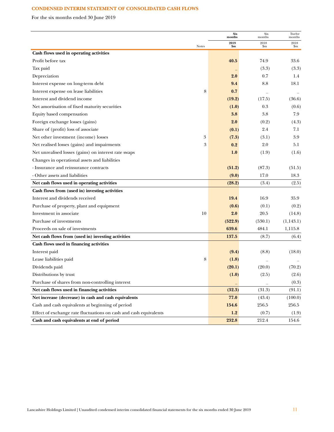# **CONDENSED INTERIM STATEMENT OF CONSOLIDATED CASH FLOWS**

For the six months ended 30 June 2019

|                                                                   |       | <b>Six</b><br>months | Six<br>months | Twelve<br>months |
|-------------------------------------------------------------------|-------|----------------------|---------------|------------------|
|                                                                   | Notes | 2019<br>\$m          | 2018<br>\$m   | 2018<br>\$m      |
| Cash flows used in operating activities                           |       |                      |               |                  |
| Profit before tax                                                 |       | 40.5                 | 74.9          | 33.6             |
| Tax paid                                                          |       |                      | (3.3)         | (3.3)            |
| Depreciation                                                      |       | 2.0                  | 0.7           | 1.4              |
| Interest expense on long-term debt                                |       | 9.4                  | 8.8           | 18.1             |
| Interest expense on lease liabilities                             | 8     | 0.7                  |               |                  |
| Interest and dividend income                                      |       | (19.2)               | (17.5)        | (36.6)           |
| Net amortisation of fixed maturity securities                     |       | (1.0)                | 0.3           | (0.6)            |
| Equity based compensation                                         |       | 3.8                  | 3.8           | 7.9              |
| Foreign exchange losses (gains)                                   |       | 2.0                  | (0.2)         | (4.3)            |
| Share of (profit) loss of associate                               |       | (0.1)                | 2.4           | 7.1              |
| Net other investment (income) losses                              | 3     | (7.3)                | (3.1)         | 3.9              |
| Net realised losses (gains) and impairments                       | 3     | 0.2                  | 2.0           | 5.1              |
| Net unrealised losses (gains) on interest rate swaps              |       | 1.0                  | (1.9)         | (1.6)            |
| Changes in operational assets and liabilities                     |       |                      |               |                  |
| - Insurance and reinsurance contracts                             |       | (51.2)               | (87.3)        | (51.5)           |
| - Other assets and liabilities                                    |       | (9.0)                | 17.0          | 18.3             |
| Net cash flows used in operating activities                       |       | (28.2)               | (3.4)         | (2.5)            |
| Cash flows from (used in) investing activities                    |       |                      |               |                  |
| Interest and dividends received                                   |       | 19.4                 | 16.9          | 35.9             |
| Purchase of property, plant and equipment                         |       | (0.6)                | (0.1)         | (0.2)            |
| Investment in associate                                           | 10    | 2.0                  | 20.5          | (14.8)           |
| Purchase of investments                                           |       | (522.9)              | (530.1)       | (1,143.1)        |
| Proceeds on sale of investments                                   |       | 639.6                | 484.1         | 1,115.8          |
| Net cash flows from (used in) investing activities                |       | 137.5                | (8.7)         | (6.4)            |
| Cash flows used in financing activities                           |       |                      |               |                  |
| Interest paid                                                     |       | (9.4)                | (8.8)         | (18.0)           |
| Lease liabilities paid                                            | 8     | (1.8)                |               |                  |
| Dividends paid                                                    |       | (20.1)               | (20.0)        | (70.2)           |
| Distributions by trust                                            |       | (1.0)                | (2.5)         | (2.6)            |
| Purchase of shares from non-controlling interest                  |       |                      |               | (0.3)            |
| Net cash flows used in financing activities                       |       | (32.3)               | (31.3)        | (91.1)           |
| Net increase (decrease) in cash and cash equivalents              |       | 77.0                 | (43.4)        | (100.0)          |
| Cash and cash equivalents at beginning of period                  |       | 154.6                | 256.5         | 256.5            |
| Effect of exchange rate fluctuations on cash and cash equivalents |       | 1.2                  | (0.7)         | (1.9)            |
| Cash and cash equivalents at end of period                        |       | 232.8                | 212.4         | 154.6            |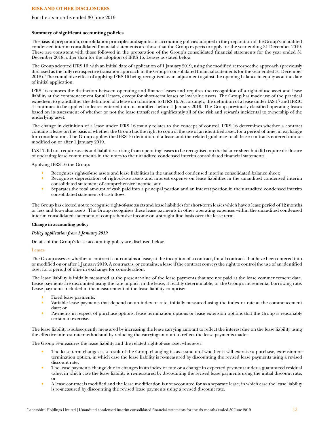## **RISK AND OTHER DISCLOSURES**

#### For the six months ended 30 June 2019

### **Summary of significant accounting policies**

The basis of preparation, consolidation principles and significant accounting policies adopted in the preparation of the Group's unaudited condensed interim consolidated financial statements are those that the Group expects to apply for the year ending 31 December 2019. These are consistent with those followed in the preparation of the Group's consolidated financial statements for the year ended 31 December 2018, other than for the adoption of IFRS 16, Leases as stated below.

The Group adopted IFRS 16, with an initial date of application of 1 January 2019, using the modified retrospective approach (previously disclosed as the fully retrospective transition approach in the Group's consolidated financial statements for the year ended 31 December 2018). The cumulative effect of applying IFRS 16 being recognised as an adjustment against the opening balance in equity as at the date of initial application.

IFRS 16 removes the distinction between operating and finance leases and requires the recognition of a right-of-use asset and lease liability at the commencement for all leases, except for short-term leases or low value assets. The Group has made use of the practical expedient to grandfather the definition of a lease on transition to IFRS 16. Accordingly, the definition of a lease under IAS 17 and IFRIC 4 continues to be applied to leases entered into or modified before 1 January 2019. The Group previously classified operating leases based on its assessment of whether or not the lease transferred significantly all of the risk and rewards incidental to ownership of the underlying asset.

The change in definition of a lease under IFRS 16 mainly relates to the concept of control. IFRS 16 determines whether a contract contains a lease on the basis of whether the Group has the right to control the use of an identified asset, for a period of time, in exchange for consideration. The Group applies the IFRS 16 definition of a lease and the related guidance to all lease contracts entered into or modified on or after 1 January 2019.

IAS 17 did not require assets and liabilities arising from operating leases to be recognised on the balance sheet but did require disclosure of operating lease commitments in the notes to the unaudited condensed interim consolidated financial statements.

### Applying IFRS 16 the Group:

- Recognises right-of-use assets and lease liabilities in the unaudited condensed interim consolidated balance sheet;
- Recognises depreciation of right-of-use assets and interest expense on lease liabilities in the unaudited condensed interim consolidated statement of comprehensive income; and
- Separates the total amount of cash paid into a principal portion and an interest portion in the unaudited condensed interim consolidated statement of cash flows.

The Group has elected not to recognise right-of-use assets and lease liabilities for short-term leases which have a lease period of 12 months or less and low-value assets. The Group recognises these lease payments in other operating expenses within the unaudited condensed interim consolidated statement of comprehensive income on a straight line basis over the lease term.

#### **Change in accounting policy**

#### *Policy application from 1 January 2019*

Details of the Group's lease accounting policy are disclosed below.

#### Leases

The Group assesses whether a contract is or contains a lease, at the inception of a contract, for all contracts that have been entered into or modified on or after 1 January 2019. A contract is, or contains, a lease if the contract conveys the right to control the use of an identified asset for a period of time in exchange for consideration.

The lease liability is initially measured at the present value of the lease payments that are not paid at the lease commencement date. Lease payments are discounted using the rate implicit in the lease, if readily determinable, or the Group's incremental borrowing rate. Lease payments included in the measurement of the lease liability comprise:

- Fixed lease payments;
- Variable lease payments that depend on an index or rate, initially measured using the index or rate at the commencement date; or
- Payments in respect of purchase options, lease termination options or lease extension options that the Group is reasonably certain to exercise.

The lease liability is subsequently measured by increasing the lease carrying amount to reflect the interest due on the lease liability using the effective interest rate method and by reducing the carrying amount to reflect the lease payments made.

The Group re-measures the lease liability and the related right-of-use asset whenever:

- The lease term changes as a result of the Group changing its assessment of whether it will exercise a purchase, extension or termination option, in which case the lease liability is re-measured by discounting the revised lease payments using a revised discount rate;
- The lease payments change due to changes in an index or rate or a change in expected payment under a guaranteed residual value, in which case the lease liability is re-measured by discounting the revised lease payments using the initial discount rate; or
- A lease contract is modified and the lease modification is not accounted for as a separate lease, in which case the lease liability is re-measured by discounting the revised lease payments using a revised discount rate.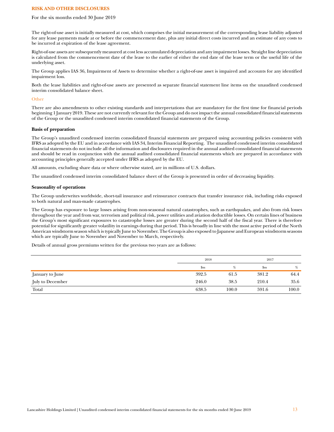#### **RISK AND OTHER DISCLOSURES**

#### For the six months ended 30 June 2019

The right-of-use asset is initially measured at cost, which comprises the initial measurement of the corresponding lease liability adjusted for any lease payments made at or before the commencement date, plus any initial direct costs incurred and an estimate of any costs to be incurred at expiration of the lease agreement.

Right-of-use assets are subsequently measured at cost less accumulated depreciation and any impairment losses. Straight line depreciation is calculated from the commencement date of the lease to the earlier of either the end date of the lease term or the useful life of the underlying asset.

The Group applies IAS 36, Impairment of Assets to determine whether a right-of-use asset is impaired and accounts for any identified impairment loss.

Both the lease liabilities and right-of-use assets are presented as separate financial statement line items on the unaudited condensed interim consolidated balance sheet.

#### **Other**

There are also amendments to other existing standards and interpretations that are mandatory for the first time for financial periods beginning 1 January 2019. These are not currently relevant for the Group and do not impact the annual consolidated financial statements of the Group or the unaudited condensed interim consolidated financial statements of the Group.

#### **Basis of preparation**

The Group's unaudited condensed interim consolidated financial statements are prepared using accounting policies consistent with IFRS as adopted by the EU and in accordance with IAS 34, Interim Financial Reporting. The unaudited condensed interim consolidated financial statements do not include all the information and disclosures required in the annual audited consolidated financial statements and should be read in conjunction with the annual audited consolidated financial statements which are prepared in accordance with accounting principles generally accepted under IFRS as adopted by the EU.

All amounts, excluding share data or where otherwise stated, are in millions of U.S. dollars.

The unaudited condensed interim consolidated balance sheet of the Group is presented in order of decreasing liquidity.

#### **Seasonality of operations**

The Group underwrites worldwide, short-tail insurance and reinsurance contracts that transfer insurance risk, including risks exposed to both natural and man-made catastrophes.

The Group has exposure to large losses arising from non-seasonal natural catastrophes, such as earthquakes, and also from risk losses throughout the year and from war, terrorism and political risk, power utilities and aviation deductible losses. On certain lines of business the Group's most significant exposures to catastrophe losses are greater during the second half of the fiscal year. There is therefore potential for significantly greater volatility in earnings during that period. This is broadly in line with the most active period of the North American windstorm season which is typically June to November. The Group is also exposed to Japanese and European windstorm seasons which are typically June to November and November to March, respectively.

Details of annual gross premiums written for the previous two years are as follows:

|                  | 2018          |       |                | 2017  |  |  |
|------------------|---------------|-------|----------------|-------|--|--|
|                  | $\mathbf{Sm}$ | %     | $\mathbf{S}$ m | %     |  |  |
| January to June  | 392.5         | 61.5  | 381.2          | 64.4  |  |  |
| July to December | 246.0         | 38.5  | 210.4          | 35.6  |  |  |
| Total            | 638.5         | 100.0 | 591.6          | 100.0 |  |  |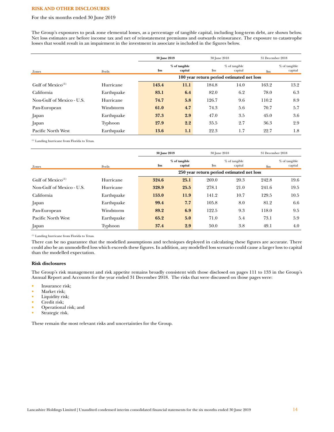#### **RISK AND OTHER DISCLOSURES**

#### For the six months ended 30 June 2019

The Group's exposures to peak zone elemental losses, as a percentage of tangible capital, including long-term debt, are shown below. Net loss estimates are before income tax and net of reinstatement premiums and outwards reinsurance. The exposure to catastrophe losses that would result in an impairment in the investment in associate is included in the figures below.

|                               |            | 30 June 2019                                               |                          |               | 30 June 2018               |       | 31 December 2018         |  |
|-------------------------------|------------|------------------------------------------------------------|--------------------------|---------------|----------------------------|-------|--------------------------|--|
|                               |            | \$m                                                        | % of tangible<br>capital | $\mathbf{Sm}$ | $%$ of tangible<br>capital |       | % of tangible<br>capital |  |
| Zones                         | Perils     | $\mathbf{Sm}$<br>100 year return period estimated net loss |                          |               |                            |       |                          |  |
| Gulf of Mexico <sup>(1)</sup> | Hurricane  | 143.4                                                      | 11.1                     | 184.8         | 14.0                       | 163.2 | 13.2                     |  |
| California                    | Earthquake | 83.1                                                       | 6.4                      | 82.0          | 6.2                        | 78.0  | 6.3                      |  |
| Non-Gulf of Mexico - U.S.     | Hurricane  | 74.7                                                       | 5.8                      | 126.7         | 9.6                        | 110.2 | 8.9                      |  |
| Pan-European                  | Windstorm  | 61.0                                                       | 4.7                      | 74.3          | 5.6                        | 70.7  | 5.7                      |  |
| Japan                         | Earthquake | 37.3                                                       | 2.9                      | 47.0          | 3.5                        | 45.0  | 3.6                      |  |
| Japan                         | Typhoon    | 27.9                                                       | 2.2                      | 35.5          | 2.7                        | 36.3  | 2.9                      |  |
| Pacific North West            | Earthquake | 13.6                                                       | 1.1                      | 22.3          | 1.7                        | 22.7  | 1.8                      |  |

(1) Landing hurricane from Florida to Texas.

|                               |            | 30 June 2019                              |                          |               | 30 June 2018               |               | 31 December 2018         |
|-------------------------------|------------|-------------------------------------------|--------------------------|---------------|----------------------------|---------------|--------------------------|
| Zones                         | Perils     | \$m\$                                     | % of tangible<br>capital | $\mathbf{Sm}$ | $%$ of tangible<br>capital | $\mathbf{Sm}$ | % of tangible<br>capital |
|                               |            | 250 year return period estimated net loss |                          |               |                            |               |                          |
| Gulf of Mexico <sup>(1)</sup> | Hurricane  | 324.6                                     | 25.1                     | 269.0         | 20.3                       | 242.8         | 19.6                     |
| Non-Gulf of Mexico - U.S.     | Hurricane  | 328.9                                     | 25.5                     | 278.1         | 21.0                       | 241.6         | 19.5                     |
| California                    | Earthquake | 153.0                                     | 11.9                     | 141.2         | 10.7                       | 129.5         | 10.5                     |
| Japan                         | Earthquake | 99.4                                      | 7.7                      | 105.8         | 8.0                        | 81.2          | 6.6                      |
| Pan-European                  | Windstorm  | 89.2                                      | 6.9                      | 122.5         | 9.3                        | 118.0         | 9.5                      |
| Pacific North West            | Earthquake | 65.2                                      | 5.0                      | 71.0          | 5.4                        | 73.1          | 5.9                      |
| Japan                         | Typhoon    | 37.4                                      | 2.9                      | 50.0          | 3.8                        | 49.1          | 4.0                      |

(1) Landing hurricane from Florida to Texas.

There can be no guarantee that the modelled assumptions and techniques deployed in calculating these figures are accurate. There could also be an unmodelled loss which exceeds these figures. In addition, any modelled loss scenario could cause a larger loss to capital than the modelled expectation.

#### **Risk disclosures**

The Group's risk management and risk appetite remains broadly consistent with those disclosed on pages 111 to 133 in the Group's Annual Report and Accounts for the year ended 31 December 2018. The risks that were discussed on those pages were:

- Insurance risk;
- Market risk;<br>• I jouidity ris
- Liquidity risk;<br>Credit risk:
- Credit risk;
- Operational risk; and
- Strategic risk.

These remain the most relevant risks and uncertainties for the Group.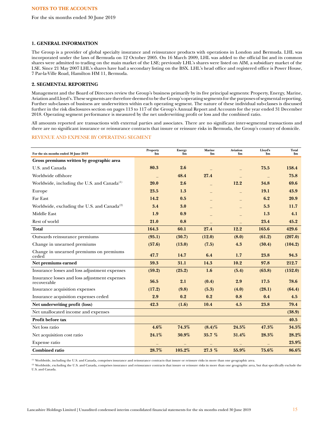For the six months ended 30 June 2019

#### **1. GENERAL INFORMATION**

The Group is a provider of global specialty insurance and reinsurance products with operations in London and Bermuda. LHL was incorporated under the laws of Bermuda on 12 October 2005. On 16 March 2009, LHL was added to the official list and its common shares were admitted to trading on the main market of the LSE; previously LHL's shares were listed on AIM, a subsidiary market of the LSE. Since 21 May 2007 LHL's shares have had a secondary listing on the BSX. LHL's head office and registered office is Power House, 7 Par-la-Ville Road, Hamilton HM 11, Bermuda.

# **2. SEGMENTAL REPORTING**

Management and the Board of Directors review the Group's business primarily by its five principal segments: Property, Energy, Marine, Aviation and Lloyd's. These segments are therefore deemed to be the Group's operating segments for the purposes of segmental reporting. Further sub-classes of business are underwritten within each operating segment. The nature of these individual sub-classes is discussed further in the risk disclosures section on pages 113 to 117 of the Group's Annual Report and Accounts for the year ended 31 December 2018. Operating segment performance is measured by the net underwriting profit or loss and the combined ratio.

All amounts reported are transactions with external parties and associates. There are no significant inter-segmental transactions and there are no significant insurance or reinsurance contracts that insure or reinsure risks in Bermuda, the Group's country of domicile.

### REVENUE AND EXPENSE BY OPERATING SEGMENT

| For the six months ended 30 June 2019                        | Property<br>$\sin$ | <b>Energy</b><br>\$m | <b>Marine</b><br>$\mathbf{Sm}$ | <b>Aviation</b><br>$\mathbf{Sm}$ | Lloyd's<br>$\mathbf{Sm}$ | Total<br>$\mathbf{Sm}$ |
|--------------------------------------------------------------|--------------------|----------------------|--------------------------------|----------------------------------|--------------------------|------------------------|
| Gross premiums written by geographic area                    |                    |                      |                                |                                  |                          |                        |
| U.S. and Canada                                              | 80.3               | 2.6                  |                                |                                  | 75.5                     | 158.4                  |
| Worldwide offshore                                           |                    | 48.4                 | 27.4                           |                                  |                          | 75.8                   |
| Worldwide, including the U.S. and Canada <sup>(1)</sup>      | 20.0               | 2.6                  |                                | 12.2                             | 34.8                     | 69.6                   |
| Europe                                                       | 23.5               | 1.3                  |                                |                                  | 19.1                     | 43.9                   |
| Far East                                                     | 14.2               | 0.5                  |                                |                                  | 6.2                      | 20.9                   |
| Worldwide, excluding the U.S. and Canada <sup>(2)</sup>      | 3.4                | 3.0                  |                                |                                  | 5.3                      | 11.7                   |
| <b>Middle East</b>                                           | 1.9                | 0.9                  |                                |                                  | 1.3                      | 4.1                    |
| Rest of world                                                | 21.0               | 0.8                  |                                |                                  | 23.4                     | 45.2                   |
| <b>Total</b>                                                 | 164.3              | 60.1                 | 27.4                           | 12.2                             | 165.6                    | 429.6                  |
| Outwards reinsurance premiums                                | (95.1)             | (30.7)               | (12.0)                         | (8.0)                            | (61.2)                   | (207.0)                |
| Change in unearned premiums                                  | (57.6)             | (13.0)               | (7.5)                          | 4.3                              | (30.4)                   | (104.2)                |
| Change in unearned premiums on premiums<br>ceded             | 47.7               | 14.7                 | 6.4                            | 1.7                              | 23.8                     | 94.3                   |
| Net premiums earned                                          | 59.3               | 31.1                 | 14.3                           | 10.2                             | 97.8                     | 212.7                  |
| Insurance losses and loss adjustment expenses                | (59.2)             | (25.2)               | 1.6                            | (5.4)                            | (63.8)                   | (152.0)                |
| Insurance losses and loss adjustment expenses<br>recoverable | 56.5               | 2.1                  | (0.4)                          | 2.9                              | 17.5                     | 78.6                   |
| Insurance acquisition expenses                               | (17.2)             | (9.8)                | (5.3)                          | (4.0)                            | (28.1)                   | (64.4)                 |
| Insurance acquisition expenses ceded                         | 2.9                | 0.2                  | 0.2                            | 0.8                              | 0.4                      | 4.5                    |
| Net underwriting profit (loss)                               | 42.3               | (1.6)                | 10.4                           | 4.5                              | 23.8                     | 79.4                   |
| Net unallocated income and expenses                          |                    |                      |                                |                                  |                          | (38.9)                 |
| Profit before tax                                            |                    |                      |                                |                                  |                          | 40.5                   |
| Net loss ratio                                               | $4.6\%$            | 74.3%                | $(8.4)\%$                      | 24.5%                            | 47.3%                    | 34.5%                  |
| Net acquisition cost ratio                                   | 24.1%              | 30.9%                | 35.7%                          | 31.4%                            | 28.3%                    | 28.2%                  |
| Expense ratio                                                |                    |                      |                                |                                  |                          | 23.9%                  |
| <b>Combined ratio</b>                                        | 28.7%              | 105.2%               | 27.3%                          | 55.9%                            | 75.6%                    | 86.6%                  |

(1) Worldwide, including the U.S. and Canada, comprises insurance and reinsurance contracts that insure or reinsure risks in more than one geographic area.

(2) Worldwide, excluding the U.S. and Canada, comprises insurance and reinsurance contracts that insure or reinsure risks in more than one geographic area, but that specifically exclude the U.S. and Canada.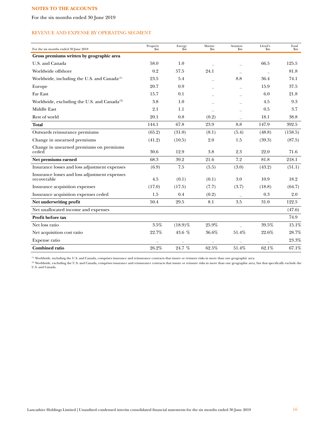For the six months ended 30 June 2019

# REVENUE AND EXPENSE BY OPERATING SEGMENT

| For the six months ended 30 June 2018                        | Property<br>$\sin$ | Energy<br>$\rm{Sm}$ | Marine<br>$_{\rm sm}$ | Aviation<br>$_{\rm sm}$ | Lloyd's<br>$\mathbf{\$m}$ | Total<br>$\mathbf{Sm}$ |
|--------------------------------------------------------------|--------------------|---------------------|-----------------------|-------------------------|---------------------------|------------------------|
| Gross premiums written by geographic area                    |                    |                     |                       |                         |                           |                        |
| U.S. and Canada                                              | 58.0               | 1.0                 |                       |                         | 66.5                      | 125.5                  |
| Worldwide offshore                                           | 0.2                | 57.5                | 24.1                  |                         |                           | 81.8                   |
| Worldwide, including the U.S. and Canada <sup>(1)</sup>      | 23.5               | 5.4                 |                       | 8.8                     | 36.4                      | 74.1                   |
| Europe                                                       | 20.7               | 0.9                 |                       |                         | 15.9                      | 37.5                   |
| Far East                                                     | 15.7               | 0.1                 |                       |                         | 6.0                       | 21.8                   |
| Worldwide, excluding the U.S. and Canada <sup>(2)</sup>      | 3.8                | 1.0                 |                       |                         | 4.5                       | 9.3                    |
| Middle East                                                  | 2.1                | 1.1                 |                       |                         | 0.5                       | 3.7                    |
| Rest of world                                                | 20.1               | 0.8                 | (0.2)                 |                         | 18.1                      | 38.8                   |
| <b>Total</b>                                                 | 144.1              | 67.8                | 23.9                  | 8.8                     | 147.9                     | 392.5                  |
| Outwards reinsurance premiums                                | (65.2)             | (31.0)              | (8.1)                 | (5.4)                   | (48.8)                    | (158.5)                |
| Change in unearned premiums                                  | (41.2)             | (10.5)              | 2.0                   | 1.5                     | (39.3)                    | (87.5)                 |
| Change in unearned premiums on premiums<br>ceded             | 30.6               | 12.9                | 3.8                   | 2.3                     | 22.0                      | 71.6                   |
| Net premiums earned                                          | 68.3               | 39.2                | 21.6                  | 7.2                     | 81.8                      | 218.1                  |
| Insurance losses and loss adjustment expenses                | (6.9)              | 7.5                 | (5.5)                 | (3.0)                   | (43.2)                    | (51.1)                 |
| Insurance losses and loss adjustment expenses<br>recoverable | 4.5                | (0.1)               | (0.1)                 | 3.0                     | 10.9                      | 18.2                   |
| Insurance acquisition expenses                               | (17.0)             | (17.5)              | (7.7)                 | (3.7)                   | (18.8)                    | (64.7)                 |
| Insurance acquisition expenses ceded                         | 1.5                | 0.4                 | (0.2)                 |                         | 0.3                       | 2.0                    |
| Net underwriting profit                                      | 50.4               | 29.5                | 8.1                   | 3.5                     | 31.0                      | 122.5                  |
| Net unallocated income and expenses                          |                    |                     |                       |                         |                           | (47.6)                 |
| Profit before tax                                            |                    |                     |                       |                         |                           | 74.9                   |
| Net loss ratio                                               | 3.5%               | $(18.9)\%$          | 25.9%                 |                         | 39.5%                     | 15.1%                  |
| Net acquisition cost ratio                                   | 22.7%              | 43.6 %              | 36.6%                 | 51.4%                   | 22.6%                     | 28.7%                  |
| Expense ratio                                                |                    |                     |                       |                         |                           | 23.3%                  |
| <b>Combined ratio</b>                                        | 26.2%              | 24.7 %              | 62.5%                 | 51.4%                   | 62.1%                     | 67.1%                  |

(1) Worldwide, including the U.S. and Canada, comprises insurance and reinsurance contracts that insure or reinsure risks in more than one geographic area.

(2) Worldwide, excluding the U.S. and Canada, comprises insurance and reinsurance contracts that insure or reinsure risks in more than one geographic area, but that specifically exclude the U.S. and Canada.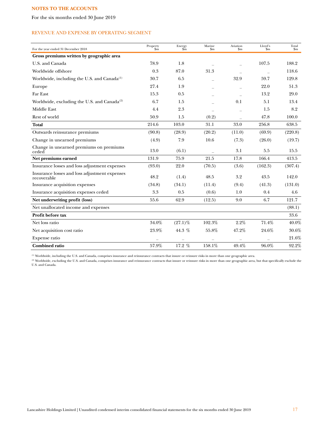For the six months ended 30 June 2019

# REVENUE AND EXPENSE BY OPERATING SEGMENT

| For the year ended 31 December 2018                          | Property<br>$\sin$ | Energy<br>$\widetilde{\mathbf{sm}}$ | Marine<br>$\mathbf{Sm}$ | Aviation<br>$\mathbf{Sm}$ | Lloyd's<br>$\mathbf{\$m}$ | Total<br>$\mathbf{S}$ m |
|--------------------------------------------------------------|--------------------|-------------------------------------|-------------------------|---------------------------|---------------------------|-------------------------|
| Gross premiums written by geographic area                    |                    |                                     |                         |                           |                           |                         |
| U.S. and Canada                                              | 78.9               | 1.8                                 |                         |                           | 107.5                     | 188.2                   |
| Worldwide offshore                                           | 0.3                | 87.0                                | 31.3                    |                           |                           | 118.6                   |
| Worldwide, including the U.S. and Canada $^{(1)}$            | 30.7               | 6.5                                 |                         | 32.9                      | 59.7                      | 129.8                   |
| Europe                                                       | 27.4               | 1.9                                 |                         |                           | 22.0                      | 51.3                    |
| Far East                                                     | 15.3               | 0.5                                 |                         |                           | 13.2                      | 29.0                    |
| Worldwide, excluding the U.S. and Canada <sup>(2)</sup>      | 6.7                | 1.5                                 |                         | 0.1                       | 5.1                       | 13.4                    |
| <b>Middle East</b>                                           | 4.4                | 2.3                                 |                         |                           | 1.5                       | 8.2                     |
| Rest of world                                                | 50.9               | 1.5                                 | (0.2)                   |                           | 47.8                      | 100.0                   |
| <b>Total</b>                                                 | 214.6              | 103.0                               | 31.1                    | 33.0                      | 256.8                     | 638.5                   |
| Outwards reinsurance premiums                                | (90.8)             | (28.9)                              | (20.2)                  | (11.0)                    | (69.9)                    | (220.8)                 |
| Change in unearned premiums                                  | (4.9)              | 7.9                                 | 10.6                    | (7.3)                     | (26.0)                    | (19.7)                  |
| Change in unearned premiums on premiums<br>ceded             | 13.0               | (6.1)                               |                         | 3.1                       | 5.5                       | 15.5                    |
| Net premiums earned                                          | 131.9              | 75.9                                | 21.5                    | 17.8                      | 166.4                     | 413.5                   |
| Insurance losses and loss adjustment expenses                | (93.0)             | 22.0                                | (70.5)                  | (3.6)                     | (162.3)                   | (307.4)                 |
| Insurance losses and loss adjustment expenses<br>recoverable | 48.2               | (1.4)                               | 48.5                    | 3.2                       | 43.5                      | 142.0                   |
| Insurance acquisition expenses                               | (34.8)             | (34.1)                              | (11.4)                  | (9.4)                     | (41.3)                    | (131.0)                 |
| Insurance acquisition expenses ceded                         | 3.3                | 0.5                                 | (0.6)                   | 1.0                       | 0.4                       | 4.6                     |
| Net underwriting profit (loss)                               | 55.6               | 62.9                                | (12.5)                  | 9.0                       | 6.7                       | 121.7                   |
| Net unallocated income and expenses                          |                    |                                     |                         |                           |                           | (88.1)                  |
| Profit before tax                                            |                    |                                     |                         |                           |                           | 33.6                    |
| Net loss ratio                                               | 34.0%              | $(27.1)\%$                          | 102.3%                  | $2.2\%$                   | 71.4%                     | 40.0%                   |
| Net acquisition cost ratio                                   | 23.9%              | 44.3 %                              | 55.8%                   | 47.2%                     | 24.6%                     | $30.6\%$                |
| Expense ratio                                                |                    |                                     |                         |                           |                           | 21.6%                   |
| <b>Combined ratio</b>                                        | 57.9%              | 17.2 %                              | 158.1%                  | 49.4%                     | 96.0%                     | 92.2%                   |

(1) Worldwide, including the U.S. and Canada, comprises insurance and reinsurance contracts that insure or reinsure risks in more than one geographic area.

(2) Worldwide, excluding the U.S. and Canada, comprises insurance and reinsurance contracts that insure or reinsure risks in more than one geographic area, but that specifically exclude the U.S. and Canada.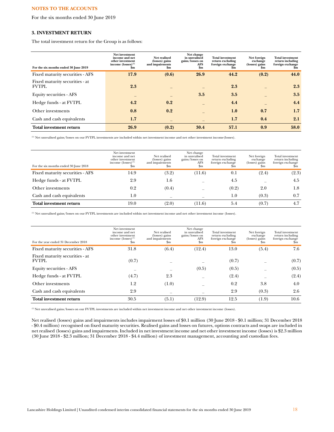For the six months ended 30 June 2019

## **3. INVESTMENT RETURN**

The total investment return for the Group is as follows:

| For the six months ended 30 June 2019          | Net investment<br>income and net<br>other investment<br>income $(losses)^{(1)}$<br>Sm | Net realised<br>(losses) gains<br>and impairments<br>\$m | Net change<br>in unrealised<br>gains/losses on<br><b>AFS</b><br>$\mathbf{Sm}$ | <b>Total investment</b><br>return excluding<br>foreign exchange<br>Sm | Net foreign<br>exchange<br>(losses) gains<br>Sm | <b>Total investment</b><br>return including<br>foreign exchange<br>Sm |
|------------------------------------------------|---------------------------------------------------------------------------------------|----------------------------------------------------------|-------------------------------------------------------------------------------|-----------------------------------------------------------------------|-------------------------------------------------|-----------------------------------------------------------------------|
| Fixed maturity securities - AFS                | 17.9                                                                                  | (0.6)                                                    | 26.9                                                                          | 44.2                                                                  | (0.2)                                           | 44.0                                                                  |
| Fixed maturity securities - at<br><b>FVTPL</b> | 2.3                                                                                   |                                                          |                                                                               | 2.3                                                                   |                                                 | 2.3                                                                   |
| Equity securities - AFS                        |                                                                                       |                                                          | 3.5                                                                           | 3.5                                                                   |                                                 | 3.5                                                                   |
| Hedge funds - at FVTPL                         | 4.2                                                                                   | 0.2                                                      |                                                                               | 4.4                                                                   |                                                 | 4.4                                                                   |
| Other investments                              | 0.8                                                                                   | 0.2                                                      |                                                                               | 1.0                                                                   | 0.7                                             | 1.7                                                                   |
| Cash and cash equivalents                      | 1.7                                                                                   | $\qquad \qquad -$                                        |                                                                               | 1.7                                                                   | 0.4                                             | 2.1                                                                   |
| <b>Total investment return</b>                 | 26.9                                                                                  | (0.2)                                                    | 30.4                                                                          | 57.1                                                                  | 0.9                                             | 58.0                                                                  |

 $^{(1)}$  Net unrealised gains/losses on our FVTPL investments are included within net investment income and net other investment income (losses).

| For the six months ended 30 June 2018 | Net investment<br>income and net<br>other investment<br>income $(losses)^{(1)}$<br>$_{\rm sm}$ | Net realised<br>(losses) gains<br>and impairments<br>$_{\rm Sm}$ | Net change<br>in unrealised<br>gains/losses on<br>AFS<br>$_{\rm sm}$ | Total investment<br>return excluding<br>foreign exchange<br>$_{\rm sm}$ | Net foreign<br>exchange<br>(losses) gains<br>$_{\rm sm}$ | Total investment<br>return including<br>foreign exchange<br>Sm |
|---------------------------------------|------------------------------------------------------------------------------------------------|------------------------------------------------------------------|----------------------------------------------------------------------|-------------------------------------------------------------------------|----------------------------------------------------------|----------------------------------------------------------------|
| Fixed maturity securities - AFS       | 14.9                                                                                           | (3.2)                                                            | (11.6)                                                               | 0.1                                                                     | (2.4)                                                    | (2.3)                                                          |
| Hedge funds - at FVTPL                | 2.9                                                                                            | 1.6                                                              |                                                                      | 4.5                                                                     |                                                          | 4.5                                                            |
| Other investments                     | 0.2                                                                                            | (0.4)                                                            |                                                                      | (0.2)                                                                   | 2.0                                                      | 1.8                                                            |
| Cash and cash equivalents             | 1.0                                                                                            | $\overline{\phantom{m}}$                                         | -                                                                    | $1.0\,$                                                                 | (0.3)                                                    | 0.7                                                            |
| <b>Total investment return</b>        | 19.0                                                                                           | (2.0)                                                            | (11.6)                                                               | 5.4                                                                     | (0.7)                                                    | 4.7                                                            |

(1) Net unrealised gains/losses on our FVTPL investments are included within net investment income and net other investment income (losses).

| For the year ended 31 December 2018            | Net investment<br>income and net<br>other investment<br>income $(losses)^{(1)}$<br>\$m | Net realised<br>(losses) gains<br>and impairments<br>\$m | Net change<br>in unrealised<br>gains/losses on<br>AFS<br>$_{\rm Sm}$ | Total investment<br>return excluding<br>foreign exchange<br>$_{\rm sm}$ | Net foreign<br>exchange<br>(losses) gains<br>$_{\rm Sm}$ | Total investment<br>return including<br>foreign exchange<br>.5m |
|------------------------------------------------|----------------------------------------------------------------------------------------|----------------------------------------------------------|----------------------------------------------------------------------|-------------------------------------------------------------------------|----------------------------------------------------------|-----------------------------------------------------------------|
| Fixed maturity securities - AFS                | 31.8                                                                                   | (6.4)                                                    | (12.4)                                                               | 13.0                                                                    | (5.4)                                                    | 7.6                                                             |
| Fixed maturity securities - at<br><b>FVTPL</b> | (0.7)                                                                                  |                                                          |                                                                      | (0.7)                                                                   |                                                          | (0.7)                                                           |
| Equity securities - AFS                        |                                                                                        |                                                          | (0.5)                                                                | (0.5)                                                                   |                                                          | (0.5)                                                           |
| Hedge funds - at FVTPL                         | (4.7)                                                                                  | 2.3                                                      |                                                                      | (2.4)                                                                   |                                                          | (2.4)                                                           |
| Other investments                              | 1.2                                                                                    | (1.0)                                                    |                                                                      | 0.2                                                                     | 3.8                                                      | 4.0                                                             |
| Cash and cash equivalents                      | 2.9                                                                                    |                                                          |                                                                      | 2.9                                                                     | (0.3)                                                    | 2.6                                                             |
| Total investment return                        | 30.5                                                                                   | (5.1)                                                    | (12.9)                                                               | 12.5                                                                    | (1.9)                                                    | 10.6                                                            |

(1) Net unrealised gains/losses on our FVTPL investments are included within net investment income and net other investment income (losses).

Net realised (losses) gains and impairments includes impairment losses of \$0.1 million (30 June 2018 - \$0.1 million; 31 December 2018 - \$0.4 million) recognised on fixed maturity securities. Realised gains and losses on futures, options contracts and swaps are included in net realised (losses) gains and impairments. Included in net investment income and net other investment income (losses) is \$2.3 million (30 June 2018 - \$2.3 million; 31 December 2018 - \$4.4 million) of investment management, accounting and custodian fees.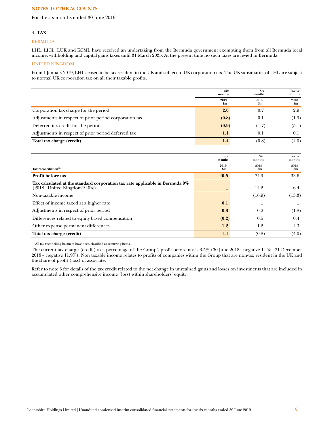For the six months ended 30 June 2019

## **4. TAX**

#### BERMUDA

LHL, LICL, LUK and KCML have received an undertaking from the Bermuda government exempting them from all Bermuda local income, withholding and capital gains taxes until 31 March 2035. At the present time no such taxes are levied in Bermuda.

# UNITED KINGDOM

From 1 January 2019, LHL ceased to be tax resident in the UK and subject to UK corporation tax. The UK subsidiaries of LHL are subject to normal UK corporation tax on all their taxable profits.

|                                                        | <b>Six</b><br>months  | Six<br>months | Twelve<br>months |
|--------------------------------------------------------|-----------------------|---------------|------------------|
|                                                        | 2019<br>$\mathbf{Sm}$ | 2018<br>\$m   | 2018<br>\$m      |
| Corporation tax charge for the period                  | 2.0                   | 0.7           | 2.9              |
| Adjustments in respect of prior period corporation tax | (0.8)                 | 0.1           | (1.9)            |
| Deferred tax credit for the period                     | (0.9)                 | (1.7)         | (5.1)            |
| Adjustments in respect of prior period deferred tax    | 1.1                   | 0.1           | 0.1              |
| Total tax charge (credit)                              | 1.4                   | (0.8)         | (4.0)            |

|                                                                                 | <b>Six</b><br>months | <b>Six</b><br>months | Twelve<br>months |
|---------------------------------------------------------------------------------|----------------------|----------------------|------------------|
|                                                                                 | 2019                 | 2018                 | 2018             |
| Tax reconciliation $(1)$                                                        | $\mathbf{Sm}$        | $\mathbf{Sm}$        | \$m              |
| Profit before tax                                                               | 40.5                 | 74.9                 | 33.6             |
| Tax calculated at the standard corporation tax rate applicable in Bermuda $0\%$ |                      |                      |                  |
| $(2018 - United Kingdom19.0\%)$                                                 |                      | 14.2                 | 6.4              |
| Non-taxable income                                                              |                      | (16.9)               | (13.3)           |
| Effect of income taxed at a higher rate                                         | 0.1                  |                      |                  |
| Adjustments in respect of prior period                                          | 0.3                  | 0.2                  | (1.8)            |
| Differences related to equity based compensation                                | (0.2)                | 0.5                  | 0.4              |
| Other expense permanent differences                                             | 1.2                  | 1.2                  | 4.3              |
| Total tax charge (credit)                                                       | 1.4                  | (0.8)                | (4.0)            |

(1) All tax reconciling balances have been classified as recurring items.

The current tax charge (credit) as a percentage of the Group's profit before tax is 3.5% (30 June 2018 - negative 1.1% ; 31 December 2018 - negative 11.9%). Non taxable income relates to profits of companies within the Group that are non-tax resident in the UK and the share of profit (loss) of associate.

Refer to note 5 for details of the tax credit related to the net change in unrealised gains and losses on investments that are included in accumulated other comprehensive income (loss) within shareholders' equity.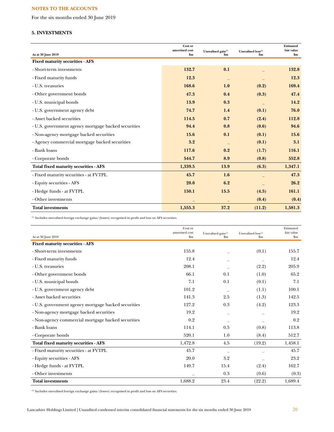For the six months ended 30 June 2019

# **5. INVESTMENTS**

| As at 30 June 2019                                  | Cost or<br>amortised cost<br>\$m\$ | Unrealised gain <sup>(1)</sup><br>$\mathbf{Sm}$ | Unrealised loss <sup>(1)</sup><br>\$m | <b>Estimated</b><br>fair value<br>\$m\$ |
|-----------------------------------------------------|------------------------------------|-------------------------------------------------|---------------------------------------|-----------------------------------------|
| <b>Fixed maturity securities - AFS</b>              |                                    |                                                 |                                       |                                         |
| - Short-term investments                            | 132.7                              | 0.1                                             |                                       | 132.8                                   |
| - Fixed maturity funds                              | 12.3                               | $\qquad \qquad -$                               |                                       | 12.3                                    |
| - U.S. treasuries                                   | 168.6                              | 1.0                                             | (0.2)                                 | 169.4                                   |
| - Other government bonds                            | 47.3                               | 0.4                                             | (0.3)                                 | 47.4                                    |
| - U.S. municipal bonds                              | 13.9                               | 0.3                                             |                                       | 14.2                                    |
| - U.S. government agency debt                       | 74.7                               | 1.4                                             | (0.1)                                 | 76.0                                    |
| - Asset backed securities                           | 114.5                              | 0.7                                             | (2.4)                                 | 112.8                                   |
| - U.S. government agency mortgage backed securities | 94.4                               | 0.8                                             | (0.6)                                 | 94.6                                    |
| - Non-agency mortgage backed securities             | 15.6                               | 0.1                                             | (0.1)                                 | 15.6                                    |
| - Agency commercial mortgage backed securities      | 3.2                                |                                                 | (0.1)                                 | 3.1                                     |
| - Bank loans                                        | 117.6                              | 0.2                                             | (1.7)                                 | 116.1                                   |
| - Corporate bonds                                   | 544.7                              | 8.9                                             | (0.8)                                 | 552.8                                   |
| Total fixed maturity securities - AFS               | 1,339.5                            | 13.9                                            | (6.3)                                 | 1,347.1                                 |
| - Fixed maturity securities - at FVTPL              | 45.7                               | 1.6                                             |                                       | 47.3                                    |
| - Equity securities - AFS                           | 20.0                               | 6.2                                             |                                       | 26.2                                    |
| - Hedge funds - at FVTPL                            | 150.1                              | 15.5                                            | (4.5)                                 | 161.1                                   |
| - Other investments                                 |                                    |                                                 | (0.4)                                 | (0.4)                                   |
| <b>Total investments</b>                            | 1,555.3                            | 37.2                                            | (11.2)                                | 1,581.3                                 |

(1) Includes unrealised foreign exchange gains/(losses) recognised in profit and loss on AFS securities.

| As at 30 June 2018                                  | Cost or<br>amortised cost<br>$\mathbf{S}_{\mathbf{m}}$ | Unrealised gain <sup>(1)</sup><br>\$m | Unrealised loss <sup>(1)</sup><br>$\mathbf{Sm}$ | Estimated<br>fair value<br>$\mathbf{Sm}$ |
|-----------------------------------------------------|--------------------------------------------------------|---------------------------------------|-------------------------------------------------|------------------------------------------|
| <b>Fixed maturity securities - AFS</b>              |                                                        |                                       |                                                 |                                          |
| - Short-term investments                            | 155.8                                                  |                                       | (0.1)                                           | 155.7                                    |
| - Fixed maturity funds                              | 12.4                                                   |                                       |                                                 | 12.4                                     |
| - U.S. treasuries                                   | 208.1                                                  |                                       | (2.2)                                           | 205.9                                    |
| - Other government bonds                            | 66.1                                                   | 0.1                                   | (1.0)                                           | 65.2                                     |
| - U.S. municipal bonds                              | 7.1                                                    | 0.1                                   | (0.1)                                           | 7.1                                      |
| - U.S. government agency debt                       | 101.2                                                  |                                       | (1.1)                                           | 100.1                                    |
| - Asset backed securities                           | 141.3                                                  | 2.5                                   | (1.3)                                           | 142.5                                    |
| - U.S. government agency mortgage backed securities | 127.2                                                  | 0.3                                   | (4.2)                                           | 123.3                                    |
| - Non-agency mortgage backed securities             | 19.2                                                   |                                       |                                                 | 19.2                                     |
| - Non-agency commercial mortgage backed securities  | 0.2                                                    |                                       |                                                 | 0.2                                      |
| - Bank loans                                        | 114.1                                                  | 0.5                                   | (0.8)                                           | 113.8                                    |
| - Corporate bonds                                   | 520.1                                                  | 1.0                                   | (8.4)                                           | 512.7                                    |
| Total fixed maturity securities - AFS               | 1,472.8                                                | 4.5                                   | (19.2)                                          | 1,458.1                                  |
| - Fixed maturity securities - at FVTPL              | 45.7                                                   |                                       |                                                 | 45.7                                     |
| - Equity securities - AFS                           | 20.0                                                   | 3.2                                   |                                                 | 23.2                                     |
| - Hedge funds - at FVTPL                            | 149.7                                                  | 15.4                                  | (2.4)                                           | 162.7                                    |
| - Other investments                                 |                                                        | 0.3                                   | (0.6)                                           | (0.3)                                    |
| <b>Total investments</b>                            | 1,688.2                                                | 23.4                                  | (22.2)                                          | 1,689.4                                  |

(1) Includes unrealised foreign exchange gains/(losses) recognised in profit and loss on AFS securities.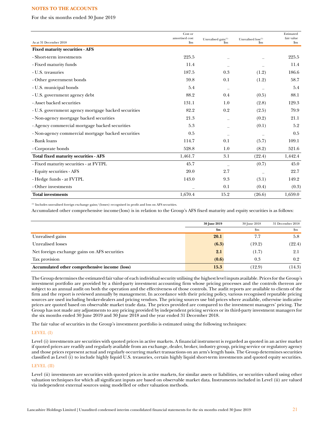For the six months ended 30 June 2019

|                                                     | Cost or<br>amortised cost | Unrealised gain <sup>(1)</sup> | Unrealised loss(1) | Estimated<br>fair value |
|-----------------------------------------------------|---------------------------|--------------------------------|--------------------|-------------------------|
| As at 31 December 2018                              | $\mathbf{Sm}$             | $\mathbf{Sm}$                  | $\mathbf{Sm}$      | $\mathbf{\$m}$          |
| <b>Fixed maturity securities - AFS</b>              |                           |                                |                    |                         |
| - Short-term investments                            | 225.5                     |                                |                    | 225.5                   |
| - Fixed maturity funds                              | 11.4                      |                                |                    | 11.4                    |
| - U.S. treasuries                                   | 187.5                     | 0.3                            | (1.2)              | 186.6                   |
| - Other government bonds                            | 59.8                      | 0.1                            | (1.2)              | 58.7                    |
| - U.S. municipal bonds                              | 5.4                       | $\overline{\phantom{m}}$       |                    | 5.4                     |
| - U.S. government agency debt                       | 88.2                      | 0.4                            | (0.5)              | 88.1                    |
| - Asset backed securities                           | 131.1                     | 1.0                            | (2.8)              | 129.3                   |
| - U.S. government agency mortgage backed securities | 82.2                      | 0.2                            | (2.5)              | 79.9                    |
| - Non-agency mortgage backed securities             | 21.3                      | $\overline{\phantom{0}}$       | (0.2)              | 21.1                    |
| - Agency commercial mortgage backed securities      | 5.3                       |                                | (0.1)              | 5.2                     |
| - Non-agency commercial mortgage backed securities  | 0.5                       |                                |                    | 0.5                     |
| - Bank loans                                        | 114.7                     | 0.1                            | (5.7)              | 109.1                   |
| - Corporate bonds                                   | 528.8                     | 1.0                            | (8.2)              | 521.6                   |
| Total fixed maturity securities - AFS               | 1,461.7                   | 3.1                            | (22.4)             | 1,442.4                 |
| - Fixed maturity securities - at FVTPL              | 45.7                      | $\qquad \qquad$                | (0.7)              | 45.0                    |
| - Equity securities - AFS                           | 20.0                      | 2.7                            |                    | 22.7                    |
| - Hedge funds - at FVTPL                            | 143.0                     | 9.3                            | (3.1)              | 149.2                   |
| - Other investments                                 |                           | 0.1                            | (0.4)              | (0.3)                   |
| <b>Total investments</b>                            | 1,670.4                   | 15.2                           | (26.6)             | 1,659.0                 |

(1) Includes unrealised foreign exchange gains/(losses) recognised in profit and loss on AFS securities.

Accumulated other comprehensive income(loss) is in relation to the Group's AFS fixed maturity and equity securities is as follows:

|                                               | 30 June 2019  | 30 June 2018  | 31 December 2018 |
|-----------------------------------------------|---------------|---------------|------------------|
|                                               | $\mathbf{Sm}$ | $\mathbf{Sm}$ | $\mathbf{Sm}$    |
| Unrealised gains                              | 20.1          | 7.7           | 5.8              |
| Unrealised losses                             | (6.3)         | (19.2)        | (22.4)           |
| Net foreign exchange gains on AFS securities  | 2.1           | (1.7)         | 2.1              |
| Tax provision                                 | (0.6)         | 0.3           | 0.2 <sub>1</sub> |
| Accumulated other comprehensive income (loss) | 15.3          | (12.9)        | (14.3)           |

The Group determines the estimated fair value of each individual security utilising the highest level inputs available. Prices for the Group's investment portfolio are provided by a third-party investment accounting firm whose pricing processes and the controls thereon are subject to an annual audit on both the operation and the effectiveness of those controls. The audit reports are available to clients of the firm and the report is reviewed annually by management. In accordance with their pricing policy, various recognised reputable pricing sources are used including broker-dealers and pricing vendors. The pricing sources use bid prices where available, otherwise indicative prices are quoted based on observable market trade data. The prices provided are compared to the investment managers' pricing. The Group has not made any adjustments to any pricing provided by independent pricing services or its third-party investment managers for the six months ended 30 June 2019 and 30 June 2018 and the year ended 31 December 2018.

The fair value of securities in the Group's investment portfolio is estimated using the following techniques:

## LEVEL (I)

Level (i) investments are securities with quoted prices in active markets. A financial instrument is regarded as quoted in an active market if quoted prices are readily and regularly available from an exchange, dealer, broker, industry group, pricing service or regulatory agency and those prices represent actual and regularly occurring market transactions on an arm's length basis. The Group determines securities classified as Level (i) to include highly liquid U.S. treasuries, certain highly liquid short-term investments and quoted equity securities.

# LEVEL (II)

Level (ii) investments are securities with quoted prices in active markets, for similar assets or liabilities, or securities valued using other valuation techniques for which all significant inputs are based on observable market data. Instruments included in Level (ii) are valued via independent external sources using modelled or other valuation methods.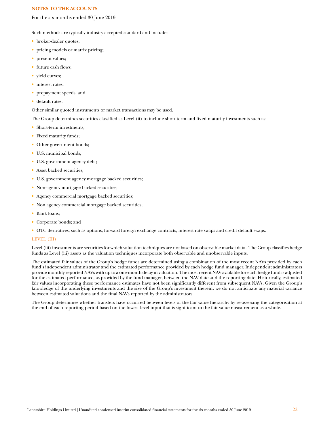For the six months ended 30 June 2019

Such methods are typically industry accepted standard and include:

- broker-dealer quotes;
- pricing models or matrix pricing;
- present values;
- future cash flows;
- yield curves;
- interest rates;
- prepayment speeds; and
- default rates.

Other similar quoted instruments or market transactions may be used.

The Group determines securities classified as Level (ii) to include short-term and fixed maturity investments such as:

- Short-term investments:
- Fixed maturity funds;
- Other government bonds;
- U.S. municipal bonds;
- U.S. government agency debt;
- Asset backed securities;
- U.S. government agency mortgage backed securities;
- Non-agency mortgage backed securities;
- Agency commercial mortgage backed securities;
- Non-agency commercial mortgage backed securities;
- Bank loans;
- Corporate bonds; and
- OTC derivatives, such as options, forward foreign exchange contracts, interest rate swaps and credit default swaps.

#### LEVEL (III)

Level (iii) investments are securities for which valuation techniques are not based on observable market data. The Group classifies hedge funds as Level (iii) assets as the valuation techniques incorporate both observable and unobservable inputs.

The estimated fair values of the Group's hedge funds are determined using a combination of the most recent NAVs provided by each fund's independent administrator and the estimated performance provided by each hedge fund manager. Independent administrators provide monthly reported NAVs with up to a one-month delay in valuation. The most recent NAV available for each hedge fund is adjusted for the estimated performance, as provided by the fund manager, between the NAV date and the reporting date. Historically, estimated fair values incorporating these performance estimates have not been significantly different from subsequent NAVs. Given the Group's knowledge of the underlying investments and the size of the Group's investment therein, we do not anticipate any material variance between estimated valuations and the final NAVs reported by the administrators.

The Group determines whether transfers have occurred between levels of the fair value hierarchy by re-assessing the categorisation at the end of each reporting period based on the lowest level input that is significant to the fair value measurement as a whole.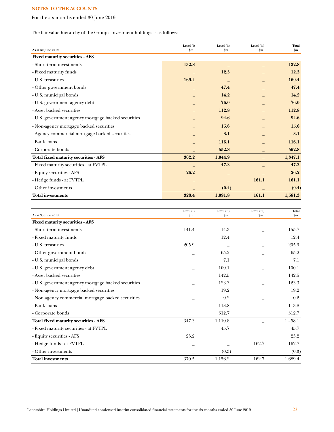For the six months ended 30 June 2019

The fair value hierarchy of the Group's investment holdings is as follows:

| As at 30 June 2019                                  | Level (i)<br>\$m\$ | Level (ii)<br>\$m\$ | Level (iii)<br>$\mathbf{\$m}$ | <b>Total</b><br>\$m\$ |
|-----------------------------------------------------|--------------------|---------------------|-------------------------------|-----------------------|
| <b>Fixed maturity securities - AFS</b>              |                    |                     |                               |                       |
| - Short-term investments                            | 132.8              |                     |                               | 132.8                 |
| - Fixed maturity funds                              |                    | 12.3                |                               | 12.3                  |
| - U.S. treasuries                                   | 169.4              |                     |                               | 169.4                 |
| - Other government bonds                            |                    | 47.4                |                               | 47.4                  |
| - U.S. municipal bonds                              |                    | 14.2                |                               | 14.2                  |
| - U.S. government agency debt                       |                    | 76.0                |                               | 76.0                  |
| - Asset backed securities                           |                    | 112.8               |                               | 112.8                 |
| - U.S. government agency mortgage backed securities |                    | 94.6                |                               | 94.6                  |
| - Non-agency mortgage backed securities             |                    | 15.6                |                               | 15.6                  |
| - Agency commercial mortgage backed securities      |                    | 3.1                 |                               | 3.1                   |
| - Bank loans                                        |                    | 116.1               |                               | 116.1                 |
| - Corporate bonds                                   |                    | 552.8               |                               | 552.8                 |
|                                                     |                    |                     |                               |                       |
| Total fixed maturity securities - AFS               | 302.2              | 1,044.9             |                               | 1,347.1               |
| - Fixed maturity securities - at FVTPL              |                    | 47.3                |                               | 47.3                  |
| - Equity securities - AFS                           | 26.2               |                     |                               | 26.2                  |
| - Hedge funds - at FVTPL                            |                    |                     | 161.1                         | 161.1                 |
| - Other investments                                 |                    | (0.4)               |                               | (0.4)                 |
| <b>Total investments</b>                            | 328.4              | 1,091.8             | 161.1                         | 1,581.3               |

| As at 30 June 2018                                  | Level (i)<br>$\mathbf{Sm}$ | Level (ii)<br>\$m | Level (iii)<br>$\mathop{\mathrm{Sm}}$ | Total<br>$\mathbf{S}$ m |
|-----------------------------------------------------|----------------------------|-------------------|---------------------------------------|-------------------------|
| <b>Fixed maturity securities - AFS</b>              |                            |                   |                                       |                         |
| - Short-term investments                            | 141.4                      | 14.3              |                                       | 155.7                   |
| - Fixed maturity funds                              |                            | 12.4              |                                       | 12.4                    |
| - U.S. treasuries                                   | 205.9                      |                   |                                       | 205.9                   |
| - Other government bonds                            |                            | 65.2              |                                       | 65.2                    |
| - U.S. municipal bonds                              |                            | 7.1               |                                       | 7.1                     |
| - U.S. government agency debt                       |                            | 100.1             |                                       | 100.1                   |
| - Asset backed securities                           |                            | 142.5             |                                       | 142.5                   |
| - U.S. government agency mortgage backed securities |                            | 123.3             |                                       | 123.3                   |
| - Non-agency mortgage backed securities             |                            | 19.2              |                                       | 19.2                    |
| - Non-agency commercial mortgage backed securities  |                            | 0.2               |                                       | 0.2                     |
| - Bank loans                                        |                            | 113.8             |                                       | 113.8                   |
| - Corporate bonds                                   |                            | 512.7             |                                       | 512.7                   |
| Total fixed maturity securities - AFS               | 347.3                      | 1,110.8           |                                       | 1,458.1                 |
| - Fixed maturity securities - at FVTPL              |                            | 45.7              |                                       | 45.7                    |
| - Equity securities - AFS                           | 23.2                       |                   |                                       | 23.2                    |
| - Hedge funds - at FVTPL                            |                            |                   | 162.7                                 | 162.7                   |
| - Other investments                                 |                            | (0.3)             |                                       | (0.3)                   |
| <b>Total investments</b>                            | 370.5                      | 1,156.2           | 162.7                                 | 1,689.4                 |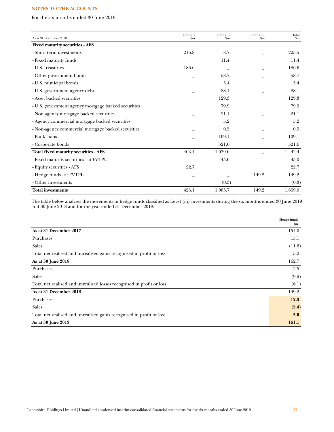For the six months ended 30 June 2019

| As at 31 December 2018                              | Level (i)<br>\$m | Level (ii)<br>$\sin$ | Level (iii)<br>\$m\$ | Total<br>$\mathbf{S}$ m |
|-----------------------------------------------------|------------------|----------------------|----------------------|-------------------------|
| <b>Fixed maturity securities - AFS</b>              |                  |                      |                      |                         |
| - Short-term investments                            | 216.8            | 8.7                  |                      | 225.5                   |
| - Fixed maturity funds                              |                  | 11.4                 |                      | 11.4                    |
| - U.S. treasuries                                   | 186.6            |                      |                      | 186.6                   |
| - Other government bonds                            |                  | 58.7                 |                      | 58.7                    |
| - U.S. municipal bonds                              |                  | 5.4                  |                      | 5.4                     |
| - U.S. government agency debt                       |                  | 88.1                 |                      | 88.1                    |
| - Asset backed securities                           |                  | 129.3                |                      | 129.3                   |
| - U.S. government agency mortgage backed securities |                  | 79.9                 |                      | 79.9                    |
| - Non-agency mortgage backed securities             |                  | 21.1                 |                      | 21.1                    |
| - Agency commercial mortgage backed securities      |                  | 5.2                  |                      | 5.2                     |
| - Non-agency commercial mortgage backed securities  |                  | 0.5                  |                      | 0.5                     |
| - Bank loans                                        |                  | 109.1                |                      | 109.1                   |
| - Corporate bonds                                   |                  | 521.6                |                      | 521.6                   |
| Total fixed maturity securities - AFS               | 403.4            | 1,039.0              | -                    | 1,442.4                 |
| - Fixed maturity securities - at FVTPL              |                  | 45.0                 |                      | 45.0                    |
| - Equity securities - AFS                           | 22.7             |                      |                      | 22.7                    |
| - Hedge funds - at FVTPL                            |                  |                      | 149.2                | 149.2                   |
| - Other investments                                 |                  | (0.3)                |                      | (0.3)                   |
| <b>Total investments</b>                            | 426.1            | 1,083.7              | 149.2                | 1,659.0                 |

The table below analyses the movements in hedge funds classified as Level (iii) investments during the six months ended 30 June 2019 and 30 June 2018 and for the year ended 31 December 2018:

|                                                                       | <b>Hedge funds</b><br>\$m |
|-----------------------------------------------------------------------|---------------------------|
| As at 31 December 2017                                                | 154.0                     |
| Purchases                                                             | 15.1                      |
| Sales                                                                 | (11.6)                    |
| Total net realised and unrealised gains recognised in profit or loss  | 5.2                       |
| As at 30 June 2018                                                    | 162.7                     |
| Purchases                                                             | 2.5                       |
| <b>Sales</b>                                                          | (9.9)                     |
| Total net realised and unrealised losses recognised in profit or loss | (6.1)                     |
| As at 31 December 2018                                                | 149.2                     |
| Purchases                                                             | 12.3                      |
| <b>Sales</b>                                                          | (5.4)                     |
| Total net realised and unrealised gains recognised in profit or loss  | 5.0                       |
| As at 30 June 2019                                                    | 161.1                     |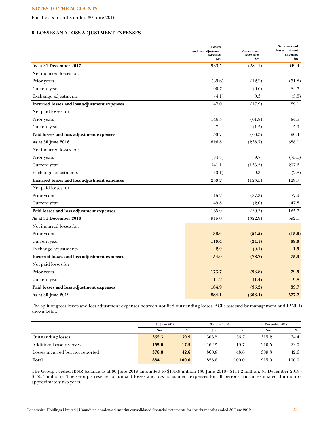For the six months ended 30 June 2019

# **6. LOSSES AND LOSS ADJUSTMENT EXPENSES**

|                                              | Losses<br>and loss adjustment<br>expenses<br>\$m | Reinsurance<br>recoveries<br>\$m | Net losses and<br>loss adjustment<br>expenses<br>\$m |
|----------------------------------------------|--------------------------------------------------|----------------------------------|------------------------------------------------------|
| As at 31 December 2017                       | 933.5                                            | (284.1)                          | 649.4                                                |
| Net incurred losses for:                     |                                                  |                                  |                                                      |
| Prior years                                  | (39.6)                                           | (12.2)                           | (51.8)                                               |
| Current year                                 | 90.7                                             | (6.0)                            | 84.7                                                 |
| Exchange adjustments                         | (4.1)                                            | 0.3                              | (3.8)                                                |
| Incurred losses and loss adjustment expenses | 47.0                                             | (17.9)                           | 29.1                                                 |
| Net paid losses for:                         |                                                  |                                  |                                                      |
| Prior years                                  | 146.3                                            | (61.8)                           | 84.5                                                 |
| Current year                                 | 7.4                                              | (1.5)                            | 5.9                                                  |
| Paid losses and loss adjustment expenses     | 153.7                                            | (63.3)                           | 90.4                                                 |
| As at 30 June 2018                           | 826.8                                            | (238.7)                          | 588.1                                                |
| Net incurred losses for:                     |                                                  |                                  |                                                      |
| Prior years                                  | (84.8)                                           | 9.7                              | (75.1)                                               |
| Current year                                 | 341.1                                            | (133.5)                          | 207.6                                                |
| Exchange adjustments                         | (3.1)                                            | 0.3                              | (2.8)                                                |
| Incurred losses and loss adjustment expenses | 253.2                                            | (123.5)                          | 129.7                                                |
| Net paid losses for:                         |                                                  |                                  |                                                      |
| Prior years                                  | 115.2                                            | (37.3)                           | 77.9                                                 |
| Current year                                 | 49.8                                             | (2.0)                            | 47.8                                                 |
| Paid losses and loss adjustment expenses     | 165.0                                            | (39.3)                           | 125.7                                                |
| As at 31 December 2018                       | 915.0                                            | (322.9)                          | 592.1                                                |
| Net incurred losses for:                     |                                                  |                                  |                                                      |
| Prior years                                  | 38.6                                             | (54.5)                           | (15.9)                                               |
| Current year                                 | 113.4                                            | (24.1)                           | 89.3                                                 |
| Exchange adjustments                         | 2.0                                              | (0.1)                            | 1.9                                                  |
| Incurred losses and loss adjustment expenses | 154.0                                            | (78.7)                           | 75.3                                                 |
| Net paid losses for:                         |                                                  |                                  |                                                      |
| Prior years                                  | 173.7                                            | (93.8)                           | 79.9                                                 |
| Current year                                 | 11.2                                             | (1.4)                            | 9.8                                                  |
| Paid losses and loss adjustment expenses     | 184.9                                            | (95.2)                           | 89.7                                                 |
| As at 30 June 2019                           | 884.1                                            | (306.4)                          | 577.7                                                |

The split of gross losses and loss adjustment expenses between notified outstanding losses, ACRs assessed by management and IBNR is shown below:

|                                  | 30 June 2019   |       | 30 June 2018 |       | 31 December 2018 |       |
|----------------------------------|----------------|-------|--------------|-------|------------------|-------|
|                                  | $\mathbf{\$m}$ | %     | $_{\rm sm}$  | %     | \$m              | $\%$  |
| <b>Outstanding losses</b>        | 352.3          | 39.9  | 303.5        | 36.7  | 315.2            | 34.4  |
| Additional case reserves         | 155.0          | 17.5  | 162.5        | 19.7  | 210.5            | 23.0  |
| Losses incurred but not reported | 376.8          | 42.6  | 360.8        | 43.6  | 389.3            | 42.6  |
| Total                            | 884.1          | 100.0 | 826.8        | 100.0 | 915.0            | 100.0 |

The Group's ceded IBNR balance as at 30 June 2019 amounted to \$175.9 million (30 June 2018 - \$111.2 million, 31 December 2018 - \$156.4 million). The Group's reserve for unpaid losses and loss adjustment expenses for all periods had an estimated duration of approximately two years.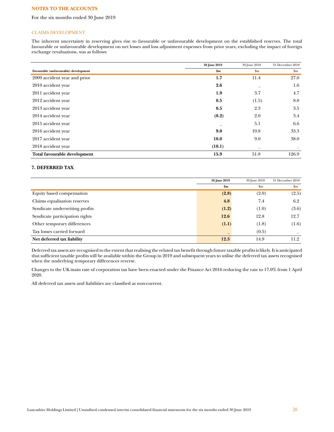For the six months ended 30 June 2019

## CLAIMS DEVELOPMENT

The inherent uncertainty in reserving gives rise to favourable or unfavourable development on the established reserves. The total favourable or unfavourable development on net losses and loss adjustment expenses from prior years, excluding the impact of foreign exchange revaluations, was as follows:

|                                       | 30 June 2019 | 30 June 2018                   | 31 December 2018          |
|---------------------------------------|--------------|--------------------------------|---------------------------|
| Favourable (unfavourable) development | \$m\$        | $\mathbf{Sm}$                  | $\mathbf{S}_{\mathbf{m}}$ |
| 2009 accident year and prior          | 1.7          | 11.4                           | 27.0                      |
| 2010 accident year                    | 2.6          |                                | 1.6                       |
| 2011 accident year                    | 1.9          | 3.7                            | 4.7                       |
| 2012 accident year                    | 0.5          | (1.5)                          | 8.8                       |
| 2013 accident year                    | 0.5          | 2.3                            | 3.5                       |
| 2014 accident year                    | (0.2)        | 2.0                            | 3.4                       |
| 2015 accident year                    |              | 5.1                            | 6.6                       |
| 2016 accident year                    | 9.0          | 19.8                           | 33.3                      |
| 2017 accident year                    | 10.0         | 9.0                            | 38.0                      |
| 2018 accident year                    | (10.1)       | $\qquad \qquad \longleftarrow$ |                           |
| Total favourable development          | 15.9         | 51.8                           | 126.9                     |

## **7. DEFERRED TAX**

|                                | 30 June 2019  | 30 June 2018  | 31 December 2018 |
|--------------------------------|---------------|---------------|------------------|
|                                | $\mathbf{Sm}$ | $\mathbf{Sm}$ | $\mathbf{S}$ m   |
| Equity based compensation      | (2.8)         | (2.0)         | (2.5)            |
| Claims equalisation reserves   | 4.8           | 7.4           | 6.2              |
| Syndicate underwriting profits | (1.2)         | (1.0)         | (3.6)            |
| Syndicate participation rights | 12.6          | 12.8          | 12.7             |
| Other temporary differences    | (1.1)         | (1.8)         | (1.6)            |
| Tax losses carried forward     |               | (0.5)         |                  |
| Net deferred tax liability     | 12.3          | 14.9          | 11.2             |

Deferred tax assets are recognised to the extent that realising the related tax benefit through future taxable profits is likely. It is anticipated that sufficient taxable profits will be available within the Group in 2019 and subsequent years to utilise the deferred tax assets recognised when the underlying temporary differences reverse.

Changes to the UK main rate of corporation tax have been enacted under the Finance Act 2016 reducing the rate to 17.0% from 1 April 2020.

All deferred tax assets and liabilities are classified as non-current.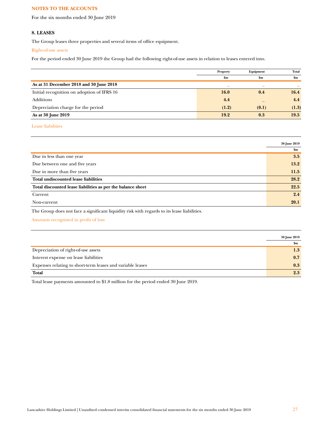For the six months ended 30 June 2019

## **8. LEASES**

The Group leases three properties and several items of office equipment.

#### Right-of-use assets

For the period ended 30 June 2019 the Group had the following right-of-use assets in relation to leases entered into.

|                                            | Property | Equipment     | Total |
|--------------------------------------------|----------|---------------|-------|
|                                            | \$m      | $\mathbf{Sm}$ | \$m   |
| As at 31 December 2018 and 30 June 2018    | -        |               |       |
| Initial recognition on adoption of IFRS 16 | 16.0     | 0.4           | 16.4  |
| <b>Additions</b>                           | 4.4      |               | 4.4   |
| Depreciation charge for the period         | (1.2)    | (0.1)         | (1.3) |
| As at 30 June 2019                         | 19.2     | 0.3           | 19.5  |

Lease liabilities

|                                                             | 30 June 2019  |
|-------------------------------------------------------------|---------------|
|                                                             | $\mathbf{Sm}$ |
| Due in less than one year                                   | 3.5           |
| Due between one and five years                              | 13.2          |
| Due in more than five years                                 | 11.5          |
| Total undiscounted lease liabilities                        | 28.2          |
| Total discounted lease liabilities as per the balance sheet | 22.5          |
| Current                                                     | 2.4           |
| Non-current                                                 | 20.1          |

The Group does not face a significant liquidity risk with regards to its lease liabilities.

Amounts recognised in profit of loss

|                                                            | 30 June 2019  |
|------------------------------------------------------------|---------------|
|                                                            | $\mathbf{Sm}$ |
| Depreciation of right-of-use assets                        | 1.3           |
| Interest expense on lease liabilities                      | 0.7           |
| Expenses relating to short-term leases and variable leases | 0.3           |
| <b>Total</b>                                               | 2.3           |

Total lease payments amounted to \$1.8 million for the period ended 30 June 2019.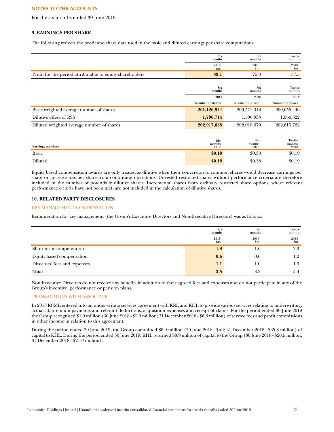For the six months ended 30 June 2019

# **9. EARNINGS PER SHARE**

The following reflects the profit and share data used in the basic and diluted earnings per share computations:

|                                                           | <b>Six</b><br>months         | <b>Six</b><br>months  | Twelve<br>months         |
|-----------------------------------------------------------|------------------------------|-----------------------|--------------------------|
|                                                           | 2019<br>\$m                  | 2018<br>\$m           | 2018<br>$\mathbf{S}$ m   |
| Profit for the period attributable to equity shareholders | 39.1                         | 75.8                  | 37.5                     |
|                                                           |                              |                       |                          |
|                                                           | <b>Six</b><br>months         | <b>Six</b><br>months  | Twelve<br>months         |
|                                                           | 2019                         | 2018                  | 2018                     |
|                                                           | Number of shares             | Number of shares      | Number of shares         |
| Basic weighted average number of shares                   | 201,126,944                  | 200,512,346           | 200,655,440              |
| Dilutive effect of RSS                                    | 1,790,714                    | 1,506,333             | 1,960,322                |
| Diluted weighted average number of shares                 | 202,917,658                  | 202,018,679           | 202,615,762              |
|                                                           |                              |                       |                          |
| Earnings per share                                        | <b>Six</b><br>months<br>2019 | Six<br>months<br>2018 | Twelve<br>months<br>2018 |
| <b>Basic</b>                                              | \$0.19                       | \$0.38                | \$0.19                   |
|                                                           |                              |                       |                          |
| Diluted                                                   | \$0.19                       | \$0.38                | \$0.19                   |

Equity based compensation awards are only treated as dilutive when their conversion to common shares would decrease earnings per share or increase loss per share from continuing operations. Unvested restricted shares without performance criteria are therefore included in the number of potentially dilutive shares. Incremental shares from ordinary restricted share options, where relevant performance criteria have not been met, are not included in the calculation of dilutive shares.

# **10. RELATED PARTY DISCLOSURES**

## KEY MANAGEMENT COMPENSATION

Remuneration for key management (the Group's Executive Directors and Non-Executive Directors) was as follows:

|                              | <b>Six</b><br>months | Six<br>months | Twelve<br>months    |
|------------------------------|----------------------|---------------|---------------------|
|                              | 2019<br>\$m          | 2018<br>\$m   | 2018<br>$_{\rm Sm}$ |
| Short-term compensation      | 1.8                  | 1.6           | 2.3                 |
| Equity based compensation    | 0.6                  | 0.6           | 1.2                 |
| Directors' fees and expenses | 1.1                  | 1.0           | 1.9                 |
| Total                        | 3.5                  | 3.2           | 5.4                 |

Non-Executive Directors do not receive any benefits in addition to their agreed fees and expenses and do not participate in any of the Group's incentive, performance or pension plans.

#### TRANSACTIONS WITH ASSOCIATE

In 2013 KCML entered into an underwriting services agreement with KRL and KHL to provide various services relating to underwriting, actuarial, premium payments and relevant deductions, acquisition expenses and receipt of claims. For the period ended 30 June 2019 the Group recognised \$1.9 million (30 June 2018 - \$2.0 million; 31 December 2018 - \$6.6 million) of service fees and profit commissions in other income in relation to this agreement.

During the period ended 30 June 2019, the Group committed \$6.9 million (30 June 2018 - \$nil; 31 December 2018 - \$35.8 million) of capital to KHL. During the period ended 30 June 2019, KHL returned \$8.9 million of capital to the Group (30 June 2018 - \$20.5 million; 31 December 2018 - \$21.0 million).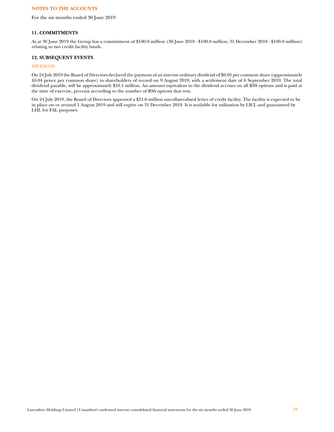For the six months ended 30 June 2019

## **11. COMMITMENTS**

As at 30 June 2019 the Group has a commitment of \$100.0 million (30 June 2018 - \$100.0 million; 31 December 2018 - \$100.0 million) relating to two credit facility funds.

## **12. SUBSEQUENT EVENTS**

# DIVIDEND

On 24 July 2019 the Board of Directors declared the payment of an interim ordinary dividend of \$0.05 per common share (approximately £0.04 pence per common share) to shareholders of record on 9 August 2019, with a settlement date of 6 September 2019. The total dividend payable, will be approximately \$10.1 million. An amount equivalent to the dividend accrues on all RSS options and is paid at the time of exercise, pro-rata according to the number of RSS options that vest.

On 24 July 2019, the Board of Directors approved a \$31.0 million uncollateralised letter of credit facility. The facility is expected to be in place on or around 1 August 2019 and will expire on 31 December 2019. It is available for utilisation by LICL and guaranteed by LHL for FAL purposes.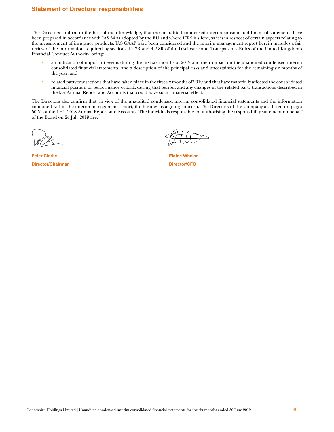# <span id="page-29-0"></span>**Statement of Directors' responsibilities**

The Directors confirm to the best of their knowledge, that the unaudited condensed interim consolidated financial statements have been prepared in accordance with IAS 34 as adopted by the EU and where IFRS is silent, as it is in respect of certain aspects relating to the measurement of insurance products, U.S GAAP have been considered and the interim management report herein includes a fair review of the information required by sections 4.2.7R and 4.2.8R of the Disclosure and Transparency Rules of the United Kingdom's Financial Conduct Authority, being:

- an indication of important events during the first six months of 2019 and their impact on the unaudited condensed interim consolidated financial statements, and a description of the principal risks and uncertainties for the remaining six months of the year; and
- related party transactions that have taken place in the first six months of 2019 and that have materially affected the consolidated financial position or performance of LHL during that period, and any changes in the related party transactions described in the last Annual Report and Accounts that could have such a material effect.

The Directors also confirm that, in view of the unaudited condensed interim consolidated financial statements and the information contained within the interim management report, the business is a going concern. The Directors of the Company are listed on pages 50-51 of the LHL 2018 Annual Report and Accounts. The individuals responsible for authorising the responsibility statement on behalf of the Board on 24 July 2019 are:

**Peter Clarke Elaine Whelan Director/Chairman Director/CFO**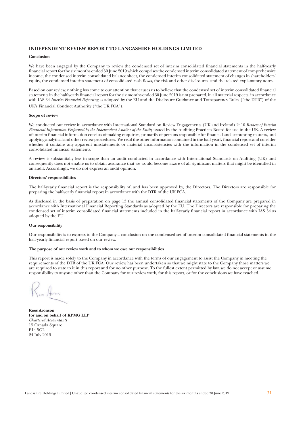# <span id="page-30-0"></span>INDEPENDENT REVIEW REPORT TO LANCASHIRE HOLDINGS LIMITED

#### Conclusion

We have been engaged by the Company to review the condensed set of interim consolidated financial statements in the half-yearly financial report for the six months ended 30 June 2019 which comprises the condensed interim consolidated statement of comprehensive income, the condensed interim consolidated balance sheet, the condensed interim consolidated statement of changes in shareholders' equity, the condensed interim statement of consolidated cash flows, the risk and other disclosures and the related explanatory notes.

Based on our review, nothing has come to our attention that causes us to believe that the condensed set of interim consolidated financial statements in the half-yearly financial report for the six months ended 30 June 2019 is not prepared, in all material respects, in accordance with IAS 34 Interim Financial Reporting as adopted by the EU and the Disclosure Guidance and Transparency Rules ("the DTR") of the UK's Financial Conduct Authority ("the UK FCA").

#### **Scope of review**

We conducted our review in accordance with International Standard on Review Engagements (UK and Ireland) 2410 Review of Interim *Financial Information Performed by the Independent Auditor of the Entity* issued by the Auditing Practices Board for use in the UK. A review of interim financial information consists of making enquiries, primarily of persons responsible for financial and accounting matters, and applying analytical and other review procedures. We read the other information contained in the half-yearly financial report and consider whether it contains any apparent misstatements or material inconsistencies with the information in the condensed set of interim consolidated financial statements.

A review is substantially less in scope than an audit conducted in accordance with International Standards on Auditing (UK) and consequently does not enable us to obtain assurance that we would become aware of all significant matters that might be identified in an audit. Accordingly, we do not express an audit opinion.

#### Directors' responsibilities

The half-yearly financial report is the responsibility of, and has been approved by, the Directors. The Directors are responsible for preparing the half-yearly financial report in accordance with the DTR of the UK FCA.

As disclosed in the basis of preparation on page 13 the annual consolidated financial statements of the Company are prepared in accordance with International Financial Reporting Standards as adopted by the EU. The Directors are responsible for preparing the condensed set of interim consolidated financial statements included in the half-yearly financial report in accordance with IAS 34 as adopted by the EU.

#### **2Our** responsibility

Our responsibility is to express to the Company a conclusion on the condensed set of interim consolidated financial statements in the half-yearly financial report based on our review.

#### The purpose of our review work and to whom we owe our responsibilities

This report is made solely to the Company in accordance with the terms of our engagement to assist the Company in meeting the requirements of the DTR of the UK FCA. Our review has been undertaken so that we might state to the Company those matters we are required to state to it in this report and for no other purpose. To the fullest extent permitted by law, we do not accept or assume responsibility to anyone other than the Company for our review work, for this report, or for the conclusions we have reached.

**Rees Aronson** for and on behalf of KPMG LLP *Chartered Accountants* 15 Canada Square E14 5GL 24 July 2019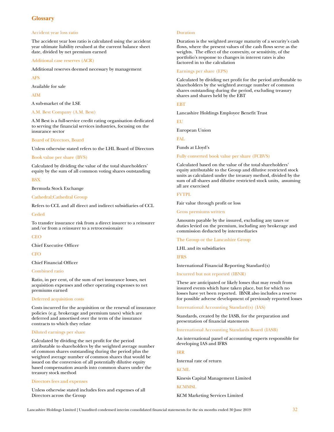# <span id="page-31-0"></span>**Glossary**

#### Accident year loss ratio

The accident year loss ratio is calculated using the accident year ultimate liability revalued at the current balance sheet date, divided by net premium earned

Additional case reserves (ACR)

Additional reserves deemed necessary by management

AFS

Available for sale

AIM

A sub-market of the LSE

### A.M. Best Company (A.M. Best)

A.M Best is a full-service credit rating organisation dedicated to serving the financial services industries, focusing on the insurance sector

#### Board of Directors, Board

Unless otherwise stated refers to the LHL Board of Directors

#### Book value per share (BVS)

Calculated by dividing the value of the total shareholders' equity by the sum of all common voting shares outstanding

#### **BSX**

Bermuda Stock Exchange

#### Cathedral;Cathedral Group

Refers to CCL and all direct and indirect subsidiaries of CCL

#### Ceded

To transfer insurance risk from a direct insurer to a reinsurer and/or from a reinsurer to a retrocessionaire

**CEO** 

Chief Executive Officer

**CFO** 

#### Chief Financial Officer

#### Combined ratio

Ratio, in per cent, of the sum of net insurance losses, net acquisition expenses and other operating expenses to net premiums earned

#### Deferred acquisition costs

Costs incurred for the acquisition or the renewal of insurance policies (e.g. brokerage and premium taxes) which are deferred and amortised over the term of the insurance contracts to which they relate

#### Diluted earnings per share

Calculated by dividing the net profit for the period attributable to shareholders by the weighted average number of common shares outstanding during the period plus the weighted average number of common shares that would be issued on the conversion of all potentially dilutive equity based compensation awards into common shares under the treasury stock method

#### Directors fees and expenses

Unless otherwise stated includes fees and expenses of all Directors across the Group

#### Duration

Duration is the weighted average maturity of a security's cash flows, where the present values of the cash flows serve as the weights. The effect of the convexity, or sensitivity, of the portfolio's response to changes in interest rates is also factored in to the calculation

#### Earnings per share (EPS)

Calculated by dividing net profit for the period attributable to shareholders by the weighted average number of common shares outstanding during the period, excluding treasury shares and shares held by the EBT

#### **ERT**

Lancashire Holdings Employee Benefit Trust

**EU** 

European Union

FAL.

Funds at Lloyd's

## Fully converted book value per share (FCBVS)

Calculated based on the value of the total shareholders' equity attributable to the Group and dilutive restricted stock units as calculated under the treasury method, divided by the sum of all shares and dilutive restricted stock units, assuming all are exercised

## FVTPL

Fair value through profit or loss

Gross premiums written

Amounts payable by the insured, excluding any taxes or duties levied on the premium, including any brokerage and commission deducted by intermediaries

The Group or the Lancashire Group

LHL and its subsidiaries

IFRS

International Financial Reporting Standard(s)

Incurred but not reported (IBNR)

These are anticipated or likely losses that may result from insured events which have taken place, but for which no losses have yet been reported. IBNR also includes a reserve for possible adverse development of previously reported losses

International Accounting Standard(s) (IAS)

[Standards,](http://www.businessdictionary.com/definition/standards.html) created by the IASB, for the [preparation](http://www.businessdictionary.com/definition/preparation.html) and [presentation](http://www.businessdictionary.com/definition/presentation.html) of [financial statements](http://www.businessdictionary.com/definition/financial-statement.html)

[International Accounting Standards Board \(IASB\)](http://www.businessdictionary.com/definition/International-Accounting-Standards-Committee-IASC.html)

An international panel of accounting experts responsible for developing IAS and IFRS

#### IRR

Internal rate of return

#### **KCML**

Kinesis Capital Management Limited

**KCMMSL** 

KCM Marketing Services Limited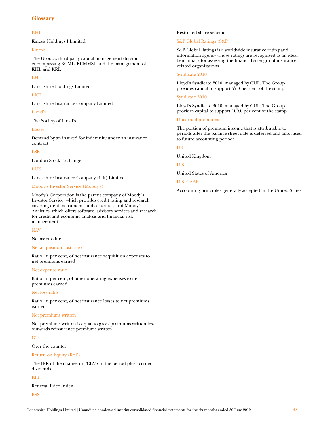# **Glossary**

### KHL

Kinesis Holdings I Limited

#### Kinesis

The Group's third party capital management division encompassing KCML, KCMMSL and the management of KHL and KRL

#### LHL

Lancashire Holdings Limited

## LICL

Lancashire Insurance Company Limited

## Lloyd's

The Society of Lloyd's

## Losses

Demand by an insured for indemnity under an insurance contract

#### LSE

London Stock Exchange

# LUK

Lancashire Insurance Company (UK) Limited

#### Moody's Investor Service (Moody's)

Moody's Corporation is the parent company of Moody's Investor Service, which provides credit rating and research covering debt instruments and securities, and Moody's Analytics, which offers software, advisory services and research for credit and economic analysis and financial risk management

#### NAV

Net asset value

#### Net acquisition cost ratio

Ratio, in per cent, of net insurance acquisition expenses to net premiums earned

## Net expense ratio

Ratio, in per cent, of other operating expenses to net premiums earned

#### Net loss ratio

Ratio, in per cent, of net insurance losses to net premiums earned

#### Net premiums written

Net premiums written is equal to gross premiums written less outwards reinsurance premiums written

#### OTC

Over the counter

#### Return on Equity (RoE)

The IRR of the change in FCBVS in the period plus accrued dividends

## RPI

Renewal Price Index

#### **RSS**

## Restricted share scheme

# S&P Global Ratings (S&P)

S&P Global Ratings is a worldwide insurance rating and information agency whose ratings are recognised as an ideal benchmark for assessing the financial strength of insurance related organisations

## Syndicate 2010

Lloyd's Syndicate 2010, managed by CUL. The Group provides capital to support 57.8 per cent of the stamp

## Syndicate 3010

Lloyd's Syndicate 3010, managed by CUL. The Group provides capital to support 100.0 per cent of the stamp

## Unearned premiums

The portion of premium income that is attributable to periods after the balance sheet date is deferred and amortised to future accounting periods

#### UK

United Kingdom

U.S.

United States of America

#### U.S. GAAP

Accounting principles generally accepted in the United States